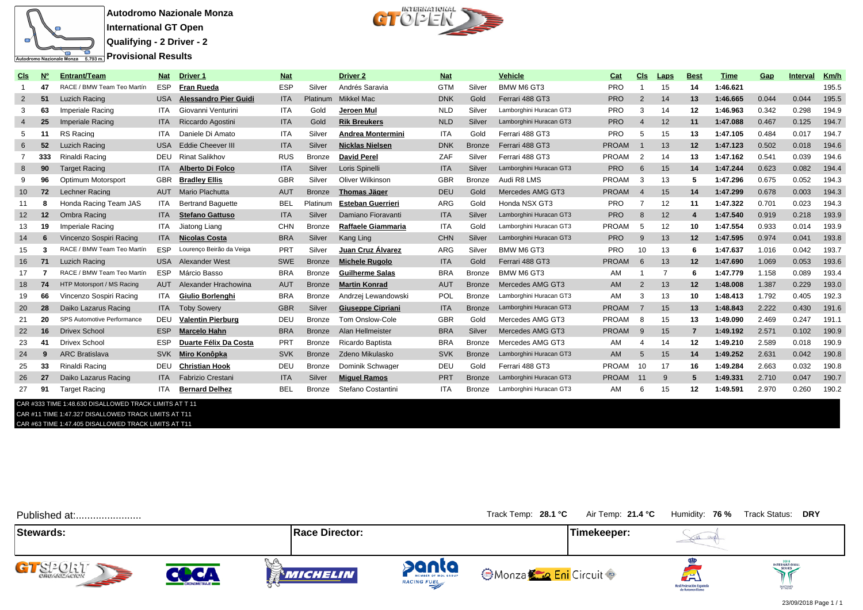

**Autodromo Nazionale Monza International GT Open**

**Qualifying - 2 Driver - 2**

**Provisional Results** 



| <u>CIs</u>      | <b>N<sub>o</sub></b> | <b>Entrant/Team</b>                                    | <b>Nat</b> | <b>Driver 1</b>              | <b>Nat</b> |               | <b>Driver 2</b>          | <u>Nat</u> |               | <b>Vehicle</b>          | Cat          | Cls            | <b>Laps</b> | <b>Best</b>    | <u>Time</u> | Gap   | <b>Interval</b> | <u>Km/h</u> |
|-----------------|----------------------|--------------------------------------------------------|------------|------------------------------|------------|---------------|--------------------------|------------|---------------|-------------------------|--------------|----------------|-------------|----------------|-------------|-------|-----------------|-------------|
|                 | 47                   | RACE / BMW Team Teo Martín                             | <b>ESP</b> | <b>Fran Rueda</b>            | <b>ESP</b> | Silver        | Andrés Saravia           | <b>GTM</b> | Silver        | BMW M6 GT3              | <b>PRO</b>   |                | 15          | 14             | 1:46.621    |       |                 | 195.5       |
| $\overline{2}$  | 51                   | Luzich Racing                                          | <b>USA</b> | <b>Alessandro Pier Guidi</b> | <b>ITA</b> | Platinum      | Mikkel Mac               | <b>DNK</b> | Gold          | Ferrari 488 GT3         | <b>PRO</b>   | $\overline{2}$ | 14          | 13             | 1:46.665    | 0.044 | 0.044           | 195.5       |
|                 | 63                   | Imperiale Racing                                       | <b>ITA</b> | Giovanni Venturini           | <b>ITA</b> | Gold          | Jeroen Mul               | <b>NLD</b> | Silver        | Lamborghini Huracan GT3 | <b>PRO</b>   | 3              | 14          | 12             | 1:46.963    | 0.342 | 0.298           | 194.9       |
|                 | 25                   | Imperiale Racing                                       | <b>ITA</b> | Riccardo Agostini            | <b>ITA</b> | Gold          | <b>Rik Breukers</b>      | <b>NLD</b> | Silver        | Lamborghini Huracan GT3 | <b>PRO</b>   | $\overline{4}$ | 12          | 11             | 1:47.088    | 0.467 | 0.125           | 194.7       |
|                 | -11                  | RS Racing                                              | <b>ITA</b> | Daniele Di Amato             | <b>ITA</b> | Silver        | Andrea Montermini        | <b>ITA</b> | Gold          | Ferrari 488 GT3         | <b>PRO</b>   | 5              | 15          | 13             | 1:47.105    | 0.484 | 0.017           | 194.7       |
| 6               | 52                   | Luzich Racing                                          | <b>USA</b> | <b>Eddie Cheever III</b>     | <b>ITA</b> | Silver        | <b>Nicklas Nielsen</b>   | <b>DNK</b> | <b>Bronze</b> | Ferrari 488 GT3         | <b>PROAM</b> |                | 13          | 12             | 1:47.123    | 0.502 | 0.018           | 194.6       |
|                 | 333                  | Rinaldi Racing                                         | DEU        | <b>Rinat Salikhov</b>        | <b>RUS</b> | <b>Bronze</b> | <b>David Perel</b>       | ZAF        | Silver        | Ferrari 488 GT3         | <b>PROAM</b> | $\overline{2}$ | 14          | 13             | 1:47.162    | 0.541 | 0.039           | 194.6       |
| 8               | 90                   | <b>Target Racing</b>                                   | <b>ITA</b> | Alberto Di Folco             | <b>ITA</b> | Silver        | Loris Spinelli           | <b>ITA</b> | Silver        | Lamborghini Huracan GT3 | <b>PRO</b>   | 6              | 15          | 14             | 1:47.244    | 0.623 | 0.082           | 194.4       |
|                 | 96                   | Optimum Motorsport                                     | <b>GBR</b> | <b>Bradlev Ellis</b>         | <b>GBR</b> | Silver        | Oliver Wilkinson         | <b>GBR</b> | <b>Bronze</b> | Audi R8 LMS             | <b>PROAM</b> | 3              | 13          | 5              | 1:47.296    | 0.675 | 0.052           | 194.3       |
| 10 <sup>°</sup> | 72                   | Lechner Racing                                         | <b>AUT</b> | Mario Plachutta              | <b>AUT</b> | <b>Bronze</b> | <b>Thomas Jäger</b>      | <b>DEU</b> | Gold          | Mercedes AMG GT3        | <b>PROAM</b> | $\overline{4}$ | 15          | 14             | 1:47.299    | 0.678 | 0.003           | 194.3       |
| 11              | 8                    | Honda Racing Team JAS                                  | <b>ITA</b> | <b>Bertrand Baquette</b>     | <b>BEL</b> | Platinum      | <b>Esteban Guerrieri</b> | ARG        | Gold          | Honda NSX GT3           | <b>PRO</b>   | $\overline{7}$ | 12          | 11             | 1:47.322    | 0.701 | 0.023           | 194.3       |
| 12              | $12 \,$              | Ombra Racing                                           | <b>ITA</b> | <b>Stefano Gattuso</b>       | <b>ITA</b> | Silver        | Damiano Fioravanti       | <b>ITA</b> | Silver        | Lamborghini Huracan GT3 | <b>PRO</b>   | 8              | 12          | 4              | 1:47.540    | 0.919 | 0.218           | 193.9       |
| 13              | 19                   | Imperiale Racing                                       | <b>ITA</b> | Jiatong Liang                | <b>CHN</b> | <b>Bronze</b> | Raffaele Giammaria       | <b>ITA</b> | Gold          | Lamborghini Huracan GT3 | <b>PROAM</b> | -5             | 12          | 10             | 1:47.554    | 0.933 | 0.014           | 193.9       |
| 14              | 6                    | Vincenzo Sospiri Racing                                | <b>ITA</b> | <b>Nicolas Costa</b>         | <b>BRA</b> | Silver        | Kang Ling                | <b>CHN</b> | Silver        | Lamborghini Huracan GT3 | <b>PRO</b>   | 9              | 13          | 12             | 1:47.595    | 0.974 | 0.041           | 193.8       |
| 15              |                      | RACE / BMW Team Teo Martín                             | <b>ESP</b> | Lourenço Beirão da Veiga     | <b>PRT</b> | Silver        | Juan Cruz Álvarez        | ARG        | Silver        | BMW M6 GT3              | <b>PRO</b>   | 10             | 13          | 6              | 1:47.637    | 1.016 | 0.042           | 193.7       |
| 16              | 71                   | <b>Luzich Racing</b>                                   | <b>USA</b> | Alexander West               | <b>SWE</b> | <b>Bronze</b> | <b>Michele Rugolo</b>    | <b>ITA</b> | Gold          | Ferrari 488 GT3         | <b>PROAM</b> | 6              | 13          | 12             | 1:47.690    | 1.069 | 0.053           | 193.6       |
| 17              |                      | RACE / BMW Team Teo Martín                             | <b>ESP</b> | Márcio Basso                 | <b>BRA</b> | <b>Bronze</b> | <b>Guilherme Salas</b>   | <b>BRA</b> | <b>Bronze</b> | BMW M6 GT3              | AM           |                | -7          | 6              | 1:47.779    | 1.158 | 0.089           | 193.4       |
| 18              | 74                   | HTP Motorsport / MS Racing                             | AUT        | Alexander Hrachowina         | <b>AUT</b> | <b>Bronze</b> | <b>Martin Konrad</b>     | <b>AUT</b> | <b>Bronze</b> | Mercedes AMG GT3        | <b>AM</b>    | $\overline{2}$ | 13          | 12             | 1:48.008    | 1.387 | 0.229           | 193.0       |
| 19              | 66                   | Vincenzo Sospiri Racing                                | <b>ITA</b> | Giulio Borlenghi             | <b>BRA</b> | <b>Bronze</b> | Andrzej Lewandowski      | <b>POL</b> | <b>Bronze</b> | Lamborghini Huracan GT3 | AM           | 3              | 13          | 10             | 1:48.413    | 1.792 | 0.405           | 192.3       |
| 20              | 28                   | Daiko Lazarus Racing                                   | <b>ITA</b> | <b>Toby Sowery</b>           | <b>GBR</b> | Silver        | <b>Giuseppe Cipriani</b> | <b>ITA</b> | <b>Bronze</b> | Lamborghini Huracan GT3 | <b>PROAM</b> | $\overline{7}$ | 15          | 13             | 1:48.843    | 2.222 | 0.430           | 191.6       |
| 21              | 20                   | SPS Automotive Performance                             | DEU        | <b>Valentin Pierburg</b>     | DEU        | <b>Bronze</b> | Tom Onslow-Cole          | <b>GBR</b> | Gold          | Mercedes AMG GT3        | <b>PROAM</b> | 8              | 15          | 13             | 1:49.090    | 2.469 | 0.247           | 191.1       |
| 22              | 16                   | <b>Drivex School</b>                                   | <b>ESP</b> | <b>Marcelo Hahn</b>          | <b>BRA</b> | <b>Bronze</b> | Alan Hellmeister         | <b>BRA</b> | Silver        | Mercedes AMG GT3        | <b>PROAM</b> | 9              | 15          | $\overline{7}$ | 1:49.192    | 2.571 | 0.102           | 190.9       |
| 23              | 41                   | <b>Drivex School</b>                                   | <b>ESP</b> | Duarte Félix Da Costa        | PRT        | <b>Bronze</b> | Ricardo Baptista         | <b>BRA</b> | <b>Bronze</b> | Mercedes AMG GT3        | AM           | 4              | 14          | 12             | 1:49.210    | 2.589 | 0.018           | 190.9       |
| 24              | 9                    | <b>ARC Bratislava</b>                                  | <b>SVK</b> | Miro Konôpka                 | <b>SVK</b> | <b>Bronze</b> | Zdeno Mikulasko          | <b>SVK</b> | <b>Bronze</b> | Lamborghini Huracan GT3 | AM           | $\overline{5}$ | 15          | 14             | 1:49.252    | 2.631 | 0.042           | 190.8       |
| 25              | 33                   | Rinaldi Racing                                         | <b>DEU</b> | <b>Christian Hook</b>        | DEU        | <b>Bronze</b> | Dominik Schwager         | DEU        | Gold          | Ferrari 488 GT3         | <b>PROAM</b> | 10             | 17          | 16             | 1:49.284    | 2.663 | 0.032           | 190.8       |
| 26              | 27                   | Daiko Lazarus Racing                                   | <b>ITA</b> | Fabrizio Crestani            | <b>ITA</b> | Silver        | <b>Miguel Ramos</b>      | PRT        | <b>Bronze</b> | Lamborghini Huracan GT3 | <b>PROAM</b> | 11             | -9          | 5              | 1:49.331    | 2.710 | 0.047           | 190.7       |
| 27              | 91                   | <b>Target Racing</b>                                   | <b>ITA</b> | <b>Bernard Delhez</b>        | <b>BEL</b> | <b>Bronze</b> | Stefano Costantini       | <b>ITA</b> | <b>Bronze</b> | Lamborghini Huracan GT3 | AM           |                | 15          | 12             | 1:49.591    | 2.970 | 0.260           | 190.2       |
|                 |                      | CAD #333 TIME 4:48 C30 DICALLOWED TRACK LIMITS AT T 44 |            |                              |            |               |                          |            |               |                         |              |                |             |                |             |       |                 |             |

CAR #333 TIME 1:48.630 DISALLOWED TRACK LIMITS AT T 11 CAR #11 TIME 1:47.327 DISALLOWED TRACK LIMITS AT T11

CAR #63 TIME 1:47.405 DISALLOWED TRACK LIMITS AT T11

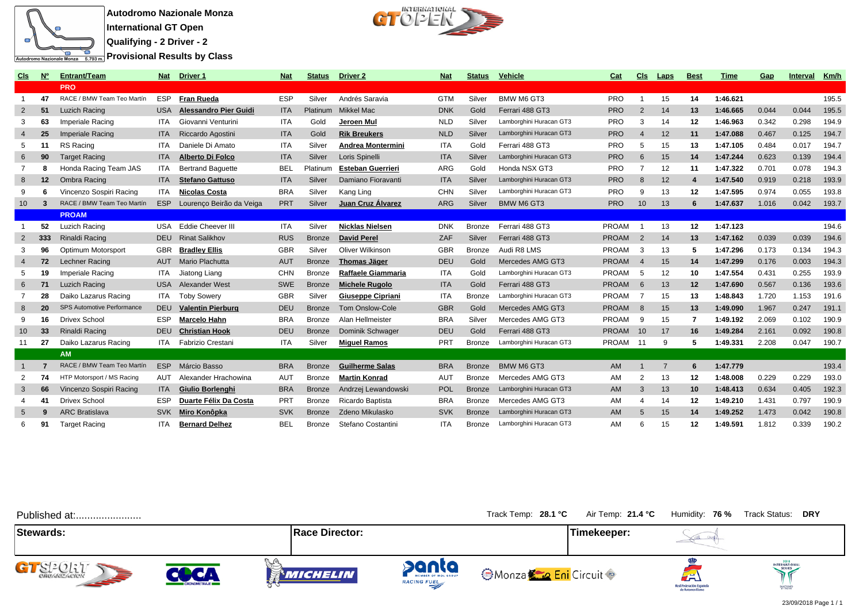

**Autodromo Nazionale Monza**

**International GT Open**

**Qualifying - 2 Driver - 2 Provisional Results by Class** 



| Cls             | <u>Nº</u> | <b>Entrant/Team</b>        | <b>Nat</b> | Driver 1                     | <b>Nat</b> | <b>Status</b> | Driver 2                 | <b>Nat</b> | <b>Status</b> | <b>Vehicle</b>          | Cat          | Cls            | <b>Laps</b>    | <b>Best</b>      | <b>Time</b> | Gap   | <b>Interval</b> | <u> Km/h</u> |
|-----------------|-----------|----------------------------|------------|------------------------------|------------|---------------|--------------------------|------------|---------------|-------------------------|--------------|----------------|----------------|------------------|-------------|-------|-----------------|--------------|
|                 |           | <b>PRO</b>                 |            |                              |            |               |                          |            |               |                         |              |                |                |                  |             |       |                 |              |
| - 1             | 47        | RACE / BMW Team Teo Martín | ESP        | <b>Fran Rueda</b>            | <b>ESP</b> | Silver        | Andrés Saravia           | <b>GTM</b> | Silver        | BMW M6 GT3              | <b>PRO</b>   |                | 15             | 14               | 1:46.621    |       |                 | 195.5        |
| $\overline{2}$  | 51        | Luzich Racing              | <b>USA</b> | <b>Alessandro Pier Guidi</b> | <b>ITA</b> | Platinum      | Mikkel Mac               | <b>DNK</b> | Gold          | Ferrari 488 GT3         | <b>PRO</b>   | 2              | 14             | 13               | 1:46.665    | 0.044 | 0.044           | 195.5        |
| -3              | 63        | Imperiale Racing           | <b>ITA</b> | Giovanni Venturini           | <b>ITA</b> | Gold          | Jeroen Mul               | <b>NLD</b> | Silver        | Lamborghini Huracan GT3 | <b>PRO</b>   | 3              | 14             | 12               | 1:46.963    | 0.342 | 0.298           | 194.9        |
| $\overline{4}$  | 25        | Imperiale Racing           | <b>ITA</b> | Riccardo Agostini            | <b>ITA</b> | Gold          | <b>Rik Breukers</b>      | <b>NLD</b> | Silver        | Lamborghini Huracan GT3 | <b>PRO</b>   | $\overline{4}$ | 12             | 11               | 1:47.088    | 0.467 | 0.125           | 194.7        |
| 5               | 11        | RS Racing                  | <b>ITA</b> | Daniele Di Amato             | <b>ITA</b> | Silver        | <b>Andrea Montermini</b> | <b>ITA</b> | Gold          | Ferrari 488 GT3         | <b>PRO</b>   | 5              | 15             | 13               | 1:47.105    | 0.484 | 0.017           | 194.7        |
| 6               | 90        | <b>Target Racing</b>       | <b>ITA</b> | Alberto Di Folco             | <b>ITA</b> | Silver        | Loris Spinelli           | <b>ITA</b> | Silver        | Lamborghini Huracan GT3 | <b>PRO</b>   | 6              | 15             | 14               | 1:47.244    | 0.623 | 0.139           | 194.4        |
| -7              | 8         | Honda Racing Team JAS      | <b>ITA</b> | <b>Bertrand Baquette</b>     | <b>BEL</b> | Platinum      | <b>Esteban Guerrieri</b> | ARG        | Gold          | Honda NSX GT3           | <b>PRO</b>   | -7             | 12             | 11               | 1:47.322    | 0.701 | 0.078           | 194.3        |
| 8               | 12        | Ombra Racing               | <b>ITA</b> | <b>Stefano Gattuso</b>       | <b>ITA</b> | Silver        | Damiano Fioravanti       | <b>ITA</b> | Silver        | Lamborghini Huracan GT3 | <b>PRO</b>   | 8              | 12             | $\boldsymbol{4}$ | 1:47.540    | 0.919 | 0.218           | 193.9        |
| 9               | 6         | Vincenzo Sospiri Racing    | <b>ITA</b> | <b>Nicolas Costa</b>         | <b>BRA</b> | Silver        | Kang Ling                | CHN        | Silver        | Lamborghini Huracan GT3 | <b>PRO</b>   | 9              | 13             | 12               | 1:47.595    | 0.974 | 0.055           | 193.8        |
| 10 <sup>°</sup> | -3        | RACE / BMW Team Teo Martín | <b>ESP</b> | Lourenço Beirão da Veiga     | <b>PRT</b> | Silver        | Juan Cruz Álvarez        | ARG        | Silver        | <b>BMW M6 GT3</b>       | <b>PRO</b>   | 10             | 13             | 6                | 1:47.637    | 1.016 | 0.042           | 193.7        |
|                 |           | <b>PROAM</b>               |            |                              |            |               |                          |            |               |                         |              |                |                |                  |             |       |                 |              |
|                 | 52        | <b>Luzich Racing</b>       | USA        | <b>Eddie Cheever III</b>     | <b>ITA</b> | Silver        | <b>Nicklas Nielsen</b>   | <b>DNK</b> | <b>Bronze</b> | Ferrari 488 GT3         | <b>PROAM</b> |                | 13             | 12               | 1:47.123    |       |                 | 194.6        |
| $\overline{2}$  | 333       | Rinaldi Racing             | <b>DEU</b> | <b>Rinat Salikhov</b>        | <b>RUS</b> | <b>Bronze</b> | <b>David Perel</b>       | ZAF        | Silver        | Ferrari 488 GT3         | <b>PROAM</b> | $\overline{2}$ | 14             | 13               | 1:47.162    | 0.039 | 0.039           | 194.6        |
| 3               | 96        | Optimum Motorsport         | <b>GBR</b> | <b>Bradley Ellis</b>         | <b>GBR</b> | Silver        | Oliver Wilkinson         | <b>GBR</b> | <b>Bronze</b> | Audi R8 LMS             | <b>PROAM</b> | - 3            | 13             | 5                | 1:47.296    | 0.173 | 0.134           | 194.3        |
| $\overline{4}$  | 72        | Lechner Racing             | <b>AUT</b> | Mario Plachutta              | <b>AUT</b> | <b>Bronze</b> | <b>Thomas Jäger</b>      | <b>DEU</b> | Gold          | Mercedes AMG GT3        | <b>PROAM</b> | $\overline{4}$ | 15             | 14               | 1:47.299    | 0.176 | 0.003           | 194.3        |
| -5              | 19        | Imperiale Racing           | <b>ITA</b> | Jiatong Liang                | <b>CHN</b> | Bronze        | Raffaele Giammaria       | <b>ITA</b> | Gold          | Lamborghini Huracan GT3 | <b>PROAM</b> | - 5            | 12             | 10               | 1:47.554    | 0.431 | 0.255           | 193.9        |
| 6               | 71        | Luzich Racing              | <b>USA</b> | <b>Alexander West</b>        | <b>SWE</b> | <b>Bronze</b> | <b>Michele Rugolo</b>    | <b>ITA</b> | Gold          | Ferrari 488 GT3         | <b>PROAM</b> | 6              | 13             | 12               | 1:47.690    | 0.567 | 0.136           | 193.6        |
| -7              | 28        | Daiko Lazarus Racing       | <b>ITA</b> | <b>Toby Sowery</b>           | <b>GBR</b> | Silver        | <b>Giuseppe Cipriani</b> | <b>ITA</b> | <b>Bronze</b> | Lamborghini Huracan GT3 | <b>PROAM</b> | -7             | 15             | 13               | 1:48.843    | 1.720 | 1.153           | 191.6        |
| -8              | 20        | SPS Automotive Performance | <b>DEU</b> | <b>Valentin Pierburg</b>     | <b>DEU</b> | <b>Bronze</b> | <b>Tom Onslow-Cole</b>   | <b>GBR</b> | Gold          | Mercedes AMG GT3        | <b>PROAM</b> | -8             | 15             | 13               | 1:49.090    | 1.967 | 0.247           | 191.1        |
| -9              | 16        | <b>Drivex School</b>       | <b>ESP</b> | Marcelo Hahn                 | <b>BRA</b> | <b>Bronze</b> | Alan Hellmeister         | <b>BRA</b> | Silver        | Mercedes AMG GT3        | <b>PROAM</b> | - 9            | 15             | 7                | 1:49.192    | 2.069 | 0.102           | 190.9        |
| 10 <sup>°</sup> | 33        | Rinaldi Racing             | <b>DEU</b> | <b>Christian Hook</b>        | <b>DEU</b> | <b>Bronze</b> | Dominik Schwager         | DEU        | Gold          | Ferrari 488 GT3         | <b>PROAM</b> | 10             | 17             | 16               | 1:49.284    | 2.161 | 0.092           | 190.8        |
| 11              | 27        | Daiko Lazarus Racing       | <b>ITA</b> | Fabrizio Crestani            | <b>ITA</b> | Silver        | <b>Miguel Ramos</b>      | PRT        | Bronze        | Lamborghini Huracan GT3 | PROAM 11     |                | 9              | 5                | 1:49.331    | 2.208 | 0.047           | 190.7        |
|                 |           | <b>AM</b>                  |            |                              |            |               |                          |            |               |                         |              |                |                |                  |             |       |                 |              |
|                 |           | RACE / BMW Team Teo Martín | <b>ESP</b> | Márcio Basso                 | <b>BRA</b> | <b>Bronze</b> | <b>Guilherme Salas</b>   | <b>BRA</b> | <b>Bronze</b> | <b>BMW M6 GT3</b>       | <b>AM</b>    |                | $\overline{7}$ | 6                | 1:47.779    |       |                 | 193.4        |
| $\overline{2}$  | 74        | HTP Motorsport / MS Racing | AUT        | Alexander Hrachowina         | <b>AUT</b> | <b>Bronze</b> | <b>Martin Konrad</b>     | <b>AUT</b> | <b>Bronze</b> | Mercedes AMG GT3        | AM           | 2              | 13             | 12               | 1:48.008    | 0.229 | 0.229           | 193.0        |
| 3               | 66        | Vincenzo Sospiri Racing    | <b>ITA</b> | <b>Giulio Borlenahi</b>      | <b>BRA</b> | <b>Bronze</b> | Andrzej Lewandowski      | POL        | <b>Bronze</b> | Lamborghini Huracan GT3 | AM           | 3              | 13             | 10               | 1:48.413    | 0.634 | 0.405           | 192.3        |
| -4              | 41        | <b>Drivex School</b>       | <b>ESP</b> | Duarte Félix Da Costa        | PRT        | Bronze        | Ricardo Baptista         | <b>BRA</b> | <b>Bronze</b> | Mercedes AMG GT3        | AM           | $\overline{4}$ | 14             | 12               | 1:49.210    | 1.431 | 0.797           | 190.9        |
| 5               | q         | <b>ARC Bratislava</b>      | <b>SVK</b> | Miro Konôpka                 | <b>SVK</b> | <b>Bronze</b> | Zdeno Mikulasko          | <b>SVK</b> | <b>Bronze</b> | Lamborghini Huracan GT3 | AM           | 5              | 15             | 14               | 1:49.252    | 1.473 | 0.042           | 190.8        |
| 6               | 91        | <b>Target Racing</b>       | <b>ITA</b> | <b>Bernard Delhez</b>        | <b>BEL</b> | <b>Bronze</b> | Stefano Costantini       | <b>ITA</b> | <b>Bronze</b> | Lamborghini Huracan GT3 | AM           | 6              | 15             | 12               | 1:49.591    | 1.812 | 0.339           | 190.2        |

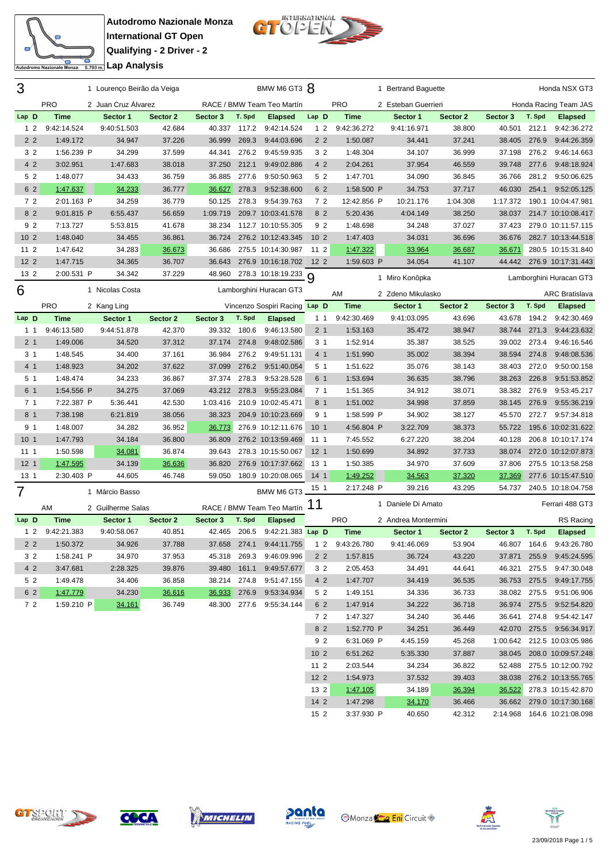



**International GT Open Qualifying - 2 Driver - 2** <del>ta</del><br>Engli**analisis** Lap Analysis

| 3               |                 | 1 Lourenço Beirão da Veiga |          |              |        | BMW M6 GT3 8                   |                 |             | 1 Bertrand Baguette |          |          |        | Honda NSX GT3                 |
|-----------------|-----------------|----------------------------|----------|--------------|--------|--------------------------------|-----------------|-------------|---------------------|----------|----------|--------|-------------------------------|
|                 | <b>PRO</b>      | 2 Juan Cruz Álvarez        |          |              |        | RACE / BMW Team Teo Martín     |                 | PRO         | 2 Esteban Guerrieri |          |          |        | Honda Racing Team JAS         |
| Lap D           | <b>Time</b>     | Sector 1                   | Sector 2 | Sector 3     | T. Spd | <b>Elapsed</b>                 | Lap D           | <b>Time</b> | Sector 1            | Sector 2 | Sector 3 | T. Spd | <b>Elapsed</b>                |
| 1 <sub>2</sub>  | 9:42:14.524     | 9:40:51.503                | 42.684   | 40.337       | 117.2  | 9:42:14.524                    | 12              | 9:42:36.272 | 9:41:16.971         | 38.800   | 40.501   | 212.1  | 9:42:36.272                   |
| 2 <sub>2</sub>  | 1:49.172        | 34.947                     | 37.226   | 36.999       | 269.3  | 9:44:03.696                    | 2 <sub>2</sub>  | 1:50.087    | 34.441              | 37.241   | 38.405   | 276.9  | 9:44:26.359                   |
| 3 <sub>2</sub>  | 1:56.239 P      | 34.299                     | 37.599   | 44.341       | 276.2  | 9:45:59.935                    | 3 <sub>2</sub>  | 1:48.304    | 34.107              | 36.999   | 37.198   |        | 276.2 9:46:14.663             |
| 4 2             | 3:02.951        | 1:47.683                   | 38.018   | 37.250       | 212.1  | 9:49:02.886                    | 4 2             | 2:04.261    | 37.954              | 46.559   | 39.748   | 277.6  | 9:48:18.924                   |
| 5 2             | 1:48.077        | 34.433                     | 36.759   | 36.885       | 277.6  | 9:50:50.963                    | 5 2             | 1:47.701    | 34.090              | 36.845   | 36.766   |        | 281.2 9:50:06.625             |
| 6 2             | 1:47.637        | 34.233                     | 36.777   | 36.627       | 278.3  | 9:52:38.600                    | 6 2             | 1:58.500 P  | 34.753              | 37.717   | 46.030   | 254.1  | 9:52:05.125                   |
| 72              | 2:01.163 P      | 34.259                     | 36.779   | 50.125       |        | 278.3 9:54:39.763              | 72              | 12:42.856 P | 10:21.176           | 1:04.308 | 1:17.372 |        | 190.1 10:04:47.981            |
| 8 <sub>2</sub>  | 9:01.815 P      | 6:55.437                   | 56.659   | 1:09.719     |        | 209.7 10:03:41.578             | 8 2             | 5:20.436    | 4:04.149            | 38.250   | 38.037   |        | 214.7 10:10:08.417            |
| 92              | 7:13.727        | 5:53.815                   | 41.678   | 38.234       |        | 112.7 10:10:55.305             | 92              | 1:48.698    | 34.248              | 37.027   | 37.423   |        | 279.0 10:11:57.115            |
| 10 <sub>2</sub> | 1:48.040        | 34.455                     | 36.861   | 36.724       |        | 276.2 10:12:43.345             | 10 <sub>2</sub> | 1:47.403    | 34.031              | 36.696   | 36.676   |        | 282.7 10:13:44.518            |
| 11 <sub>2</sub> | 1:47.642        | 34.283                     | 36.673   | 36.686       |        | 275.5 10:14:30.987             | 11 <sub>2</sub> | 1:47.322    | 33.964              | 36.687   | 36.671   |        | 280.5 10:15:31.840            |
| 12 <sub>2</sub> | 1:47.715        | 34.365                     | 36.707   | 36.643       |        | 276.9 10:16:18.702 12 2        |                 | 1:59.603 P  | 34.054              | 41.107   |          |        | 44.442 276.9 10:17:31.443     |
| 13 2            | 2:00.531 P      | 34.342                     | 37.229   | 48.960       |        | 278.3 10:18:19.233 9           |                 |             | 1 Miro Konôpka      |          |          |        | Lamborghini Huracan GT3       |
| 6               |                 | 1 Nicolas Costa            |          |              |        | Lamborghini Huracan GT3        |                 |             |                     |          |          |        |                               |
|                 |                 |                            |          |              |        |                                |                 | AM          | 2 Zdeno Mikulasko   |          |          |        | <b>ARC Bratislava</b>         |
|                 | <b>PRO</b>      | 2 Kang Ling                |          |              |        | Vincenzo Sospiri Racing Lap D  |                 | <b>Time</b> | Sector 1            | Sector 2 | Sector 3 | T. Spd | <b>Elapsed</b>                |
| Lap D           | <b>Time</b>     | Sector 1                   | Sector 2 | Sector 3     | T. Spd | <b>Elapsed</b>                 | $1\quad1$       | 9:42:30.469 | 9:41:03.095         | 43.696   | 43.678   | 194.2  | 9:42:30.469                   |
| 1 1             | 9:46:13.580     | 9:44:51.878                | 42.370   | 39.332 180.6 |        | 9:46:13.580                    | 2 <sub>1</sub>  | 1:53.163    | 35.472              | 38.947   | 38.744   | 271.3  | 9:44:23.632                   |
| 2 <sub>1</sub>  | 1:49.006        | 34.520                     | 37.312   | 37.174       | 274.8  | 9:48:02.586                    | 3 <sub>1</sub>  | 1:52.914    | 35.387              | 38.525   | 39.002   | 273.4  | 9:46:16.546                   |
| 31              | 1:48.545        | 34.400                     | 37.161   | 36.984       | 276.2  | 9:49:51.131                    | 4 <sub>1</sub>  | 1:51.990    | 35.002              | 38.394   | 38.594   | 274.8  | 9:48:08.536                   |
| 4 1             | 1:48.923        | 34.202                     | 37.622   | 37.099       | 276.2  | 9:51:40.054                    | 5 <sub>1</sub>  | 1:51.622    | 35.076              | 38.143   | 38.403   | 272.0  | 9:50:00.158                   |
| 5 <sub>1</sub>  | 1:48.474        | 34.233                     | 36.867   | 37.374       | 278.3  | 9:53:28.528                    | 6 1             | 1:53.694    | 36.635              | 38.796   | 38.263   | 226.8  | 9:51:53.852                   |
| 6 1             | 1:54.556 P      | 34.275                     | 37.069   | 43.212 278.3 |        | 9:55:23.084                    | 7 <sub>1</sub>  | 1:51.365    | 34.912              | 38.071   | 38.382   | 276.9  | 9:53:45.217                   |
| 7 <sub>1</sub>  | 7:22.387 P      | 5:36.441                   | 42.530   | 1:03.416     |        | 210.9 10:02:45.471             | 8 1             | 1:51.002    | 34.998              | 37.859   | 38.145   | 276.9  | 9:55:36.219                   |
| 8 1             | 7:38.198        | 6:21.819                   | 38.056   | 38.323       |        | 204.9 10:10:23.669             | 9 <sub>1</sub>  | 1:58.599 P  | 34.902              | 38.127   | 45.570   | 272.7  | 9:57:34.818                   |
| 9 1             | 1:48.007        | 34.282                     | 36.952   | 36.773       |        | 276.9 10:12:11.676             | 10 <sub>1</sub> | 4:56.804 P  | 3:22.709            | 38.373   | 55.722   |        | 195.6 10:02:31.622            |
| 10 <sub>1</sub> | 1:47.793        | 34.184                     | 36.800   | 36.809       |        | 276.2 10:13:59.469             | 111             | 7:45.552    | 6:27.220            | 38.204   | 40.128   |        | 206.8 10:10:17.174            |
| 11 1            | 1:50.598        | 34.081                     | 36.874   | 39.643       |        | 278.3 10:15:50.067             | 12 <sub>1</sub> | 1:50.699    | 34.892              | 37.733   | 38.074   |        | 272.0 10:12:07.873            |
| 12 <sub>1</sub> | 1:47.595        | 34.139                     | 36.636   | 36.820       |        | 276.9 10:17:37.662             | 13 <sub>1</sub> | 1:50.385    | 34.970              | 37.609   | 37.806   |        | 275.5 10:13:58.258            |
| 13 <sub>1</sub> | 2:30.403 P      | 44.605                     | 46.748   | 59.050       |        | 180.9 10:20:08.065             | 14 <sub>1</sub> | 1:49.252    | 34.563              | 37.320   | 37.369   |        | 277.6 10:15:47.510            |
| 7               |                 | 1 Márcio Basso             |          |              |        | BMW M6 GT3                     | 15 1            | 2:17.248 P  | 39.216              | 43.295   | 54.737   |        | 240.5 10:18:04.758            |
|                 | AM              | 2 Guilherme Salas          |          |              |        | RACE / BMW Team Teo Martín     | 11              |             | 1 Daniele Di Amato  |          |          |        | Ferrari 488 GT3               |
| Lap D           | <b>Time</b>     | Sector 1                   | Sector 2 | Sector 3     | T. Spd | <b>Elapsed</b>                 |                 | <b>PRO</b>  | 2 Andrea Montermini |          |          |        | RS Racing                     |
|                 | 1 2 9:42:21.383 | 9:40:58.067                | 40.851   |              |        | 42.465 206.5 9:42:21.383 Lap D |                 | <b>Time</b> | Sector 1            | Sector 2 | Sector 3 | T. Spd | <b>Elapsed</b>                |
| 22              | 1:50.372        | 34.926                     | 37.788   |              |        | 37.658 274.1 9:44:11.755       | 1 2             | 9:43:26.780 | 9:41:46.069         | 53.904   |          |        | 46.807 164.6 9:43:26.780      |
| 3 2             | 1:58.241 P      | 34.970                     | 37.953   | 45.318 269.3 |        | 9:46:09.996                    | 2 <sub>2</sub>  | 1:57.815    | 36.724              | 43.220   |          |        | 37.871 255.9 9:45:24.595      |
| 4 2             | 3:47.681        | 2:28.325                   | 39.876   |              |        | 39.480  161.1  9:49:57.677     | 3 2             | 2:05.453    | 34.491              | 44.641   | 46.321   |        | 275.5 9:47:30.048             |
| 5 2             | 1:49.478        | 34.406                     | 36.858   |              |        | 38.214 274.8 9:51:47.155       | 4 2             | 1:47.707    | 34.419              | 36.535   |          |        | 36.753 275.5 9:49:17.755      |
| 6 2             | 1:47.779        | 34.230                     | 36.616   |              |        | 36.933 276.9 9:53:34.934       | 5 2             | 1:49.151    | 34.336              | 36.733   |          |        | 38.082 275.5 9:51:06.906      |
| 72              | 1:59.210 P      | 34.161                     | 36.749   |              |        | 48.300 277.6 9:55:34.144       | 6 2             | 1:47.914    | 34.222              | 36.718   |          |        | 36.974 275.5 9:52:54.820      |
|                 |                 |                            |          |              |        |                                | 72              | 1:47.327    | 34.240              | 36.446   |          |        | 36.641 274.8 9:54:42.147      |
|                 |                 |                            |          |              |        |                                | 8 2             | 1:52.770 P  | 34.251              | 36.449   |          |        | 42.070 275.5 9:56:34.917      |
|                 |                 |                            |          |              |        |                                | 92              | 6:31.069 P  | 4:45.159            | 45.268   |          |        | 1:00.642 212.5 10:03:05.986   |
|                 |                 |                            |          |              |        |                                | 10 <sub>2</sub> | 6:51.262    | 5:35.330            | 37.887   |          |        | 38.045 208.0 10:09:57.248     |
|                 |                 |                            |          |              |        |                                | 11 2            | 2:03.544    | 34.234              | 36.822   |          |        | 52.488 275.5 10:12:00.792     |
|                 |                 |                            |          |              |        |                                | $122$           | 1:54.973    | 37.532              | 39.403   |          |        | 38.038 276.2 10:13:55.765     |
|                 |                 |                            |          |              |        |                                | 13 2            | 1:47.105    | 34.189              | 36.394   |          |        | 36.522 278.3 10:15:42.870     |
|                 |                 |                            |          |              |        |                                | $142$           | 1:47.298    | 34.170              | 36.466   |          |        | 36.662 279.0 10:17:30.168     |
|                 |                 |                            |          |              |        |                                | 15 <sub>2</sub> | 3:37.930 P  | 40.650              | 42.312   |          |        | 2:14.968  164.6  10:21:08.098 |









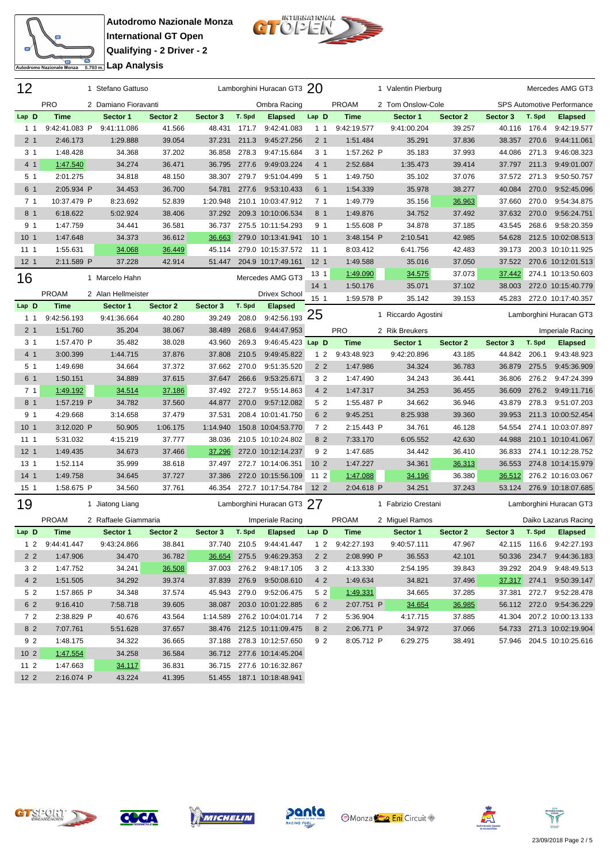

**Autodromo Nazionale Monza International GT Open Qualifying - 2 Driver - 2 <u>Costain Lap Analysis</u>** 



| 12              |                 | 1 Stefano Gattuso    |          |          |        | Lamborghini Huracan GT3 $20$  |                 |                 | 1 Valentin Pierburg |          |              |        | Mercedes AMG GT3                  |
|-----------------|-----------------|----------------------|----------|----------|--------|-------------------------------|-----------------|-----------------|---------------------|----------|--------------|--------|-----------------------------------|
|                 | <b>PRO</b>      | 2 Damiano Fioravanti |          |          |        | Ombra Racing                  |                 | <b>PROAM</b>    | 2 Tom Onslow-Cole   |          |              |        | <b>SPS Automotive Performance</b> |
| Lap D           | <b>Time</b>     | Sector 1             | Sector 2 | Sector 3 | T. Spd | <b>Elapsed</b>                | Lap D           | <b>Time</b>     | Sector 1            | Sector 2 | Sector 3     | T. Spd | <b>Elapsed</b>                    |
| $1 \quad 1$     | 9:42:41.083 P   | 9:41:11.086          | 41.566   | 48.431   | 171.7  | 9:42:41.083                   | 1 <sub>1</sub>  | 9:42:19.577     | 9:41:00.204         | 39.257   | 40.116       | 176.4  | 9:42:19.577                       |
| 2 <sub>1</sub>  | 2:46.173        | 1:29.888             | 39.054   | 37.231   | 211.3  | 9:45:27.256                   | 2 <sub>1</sub>  | 1:51.484        | 35.291              | 37.836   | 38.357       | 270.6  | 9:44:11.061                       |
| 3 <sub>1</sub>  | 1:48.428        | 34.368               | 37.202   | 36.858   | 278.3  | 9:47:15.684                   | 3 <sub>1</sub>  | 1:57.262 P      | 35.183              | 37.993   | 44.086       | 271.3  | 9:46:08.323                       |
| 4 <sub>1</sub>  | 1:47.540        | 34.274               | 36.471   | 36.795   | 277.6  | 9:49:03.224                   | 4 <sub>1</sub>  | 2:52.684        | 1:35.473            | 39.414   | 37.797       | 211.3  | 9:49:01.007                       |
| 5 <sub>1</sub>  | 2:01.275        | 34.818               | 48.150   | 38.307   | 279.7  | 9:51:04.499                   | 5 <sub>1</sub>  | 1:49.750        | 35.102              | 37.076   | 37.572       | 271.3  | 9:50:50.757                       |
| 6 1             | 2:05.934 P      | 34.453               | 36.700   | 54.781   | 277.6  | 9:53:10.433                   | 6 1             | 1:54.339        | 35.978              | 38.277   | 40.084       | 270.0  | 9:52:45.096                       |
| 7 <sub>1</sub>  | 10:37.479 P     | 8:23.692             | 52.839   | 1:20.948 |        | 210.1 10:03:47.912            | 7 <sub>1</sub>  | 1:49.779        | 35.156              | 36.963   | 37.660       | 270.0  | 9:54:34.875                       |
| 8 <sub>1</sub>  | 6:18.622        | 5:02.924             | 38.406   | 37.292   |        | 209.3 10:10:06.534            | 8 1             | 1:49.876        | 34.752              | 37.492   | 37.632       | 270.0  | 9:56:24.751                       |
| 9 <sub>1</sub>  | 1:47.759        | 34.441               | 36.581   | 36.737   |        | 275.5 10:11:54.293            | 9 <sub>1</sub>  | 1:55.608 P      | 34.878              | 37.185   | 43.545       | 268.6  | 9:58:20.359                       |
| 10 <sub>1</sub> | 1:47.648        | 34.373               | 36.612   | 36.663   |        | 279.0 10:13:41.941            | 10 <sub>1</sub> | 3:48.154 P      | 2:10.541            | 42.985   | 54.628       |        | 212.5 10:02:08.513                |
| 1111            | 1:55.631        | 34.068               | 36.449   | 45.114   |        | 279.0 10:15:37.572            | 11 1            | 8:03.412        | 6:41.756            | 42.483   | 39.173       |        | 200.3 10:10:11.925                |
| 12 <sub>1</sub> | 2:11.589 P      | 37.228               | 42.914   | 51.447   |        | 204.9 10:17:49.161            | 12 <sub>1</sub> | 1:49.588        | 35.016              | 37.050   | 37.522       |        | 270.6 10:12:01.513                |
| 16              |                 | 1 Marcelo Hahn       |          |          |        | Mercedes AMG GT3              | 13 <sub>1</sub> | 1:49.090        | 34.575              | 37.073   | 37.442       |        | 274.1 10:13:50.603                |
|                 |                 |                      |          |          |        |                               | 14 <sub>1</sub> | 1:50.176        | 35.071              | 37.102   | 38.003       |        | 272.0 10:15:40.779                |
|                 | <b>PROAM</b>    | 2 Alan Hellmeister   |          |          |        | <b>Drivex School</b>          | 15 <sub>1</sub> | 1:59.578 P      | 35.142              | 39.153   | 45.283       |        | 272.0 10:17:40.357                |
| Lap D           | <b>Time</b>     | Sector 1             | Sector 2 | Sector 3 | T. Spd | <b>Elapsed</b><br>9:42:56.193 | 25              |                 | 1 Riccardo Agostini |          |              |        | Lamborghini Huracan GT3           |
| 1 1             | 9:42:56.193     | 9:41:36.664          | 40.280   | 39.249   | 208.0  |                               |                 |                 |                     |          |              |        |                                   |
| 2 <sub>1</sub>  | 1:51.760        | 35.204               | 38.067   | 38.489   | 268.6  | 9:44:47.953                   |                 | <b>PRO</b>      | 2 Rik Breukers      |          |              |        | Imperiale Racing                  |
| 3 <sub>1</sub>  | 1:57.470 P      | 35.482               | 38.028   | 43.960   | 269.3  | 9:46:45.423 Lap D             |                 | <b>Time</b>     | Sector 1            | Sector 2 | Sector 3     | T. Spd | <b>Elapsed</b>                    |
| 4 <sub>1</sub>  | 3:00.399        | 1:44.715             | 37.876   | 37.808   | 210.5  | 9:49:45.822                   | 1 <sub>2</sub>  | 9:43:48.923     | 9:42:20.896         | 43.185   | 44.842       | 206.1  | 9:43:48.923                       |
| 5 <sub>1</sub>  | 1:49.698        | 34.664               | 37.372   | 37.662   | 270.0  | 9:51:35.520                   | 2 <sub>2</sub>  | 1:47.986        | 34.324              | 36.783   | 36.879       | 275.5  | 9:45:36.909                       |
| 6 1             | 1:50.151        | 34.889               | 37.615   | 37.647   | 266.6  | 9:53:25.671                   | 3 <sub>2</sub>  | 1:47.490        | 34.243              | 36.441   | 36.806       | 276.2  | 9:47:24.399                       |
| 7 <sub>1</sub>  | 1:49.192        | 34.514               | 37.186   | 37.492   | 272.7  | 9:55:14.863                   | 4 2             | 1:47.317        | 34.253              | 36.455   | 36.609       | 276.2  | 9:49:11.716                       |
| 8 <sub>1</sub>  | 1:57.219 P      | 34.782               | 37.560   | 44.877   | 270.0  | 9:57:12.082                   | 5 2             | 1:55.487 P      | 34.662              | 36.946   | 43.879       | 278.3  | 9:51:07.203                       |
| 9 <sub>1</sub>  | 4:29.668        | 3:14.658             | 37.479   | 37.531   |        | 208.4 10:01:41.750            | 6 2             | 9:45.251        | 8:25.938            | 39.360   | 39.953       |        | 211.3 10:00:52.454                |
| 10 <sub>1</sub> | 3:12.020 P      | 50.905               | 1:06.175 | 1:14.940 |        | 150.8 10:04:53.770            | 72              | 2:15.443 P      | 34.761              | 46.128   | 54.554       |        | 274.1 10:03:07.897                |
| 1111            | 5:31.032        | 4:15.219             | 37.777   | 38.036   |        | 210.5 10:10:24.802            | 8 2             | 7:33.170        | 6:05.552            | 42.630   | 44.988       |        | 210.1 10:10:41.067                |
| 12 <sub>1</sub> | 1:49.435        | 34.673               | 37.466   | 37.296   |        | 272.0 10:12:14.237            | 92              | 1:47.685        | 34.442              | 36.410   | 36.833       |        | 274.1 10:12:28.752                |
| 13 <sub>1</sub> | 1:52.114        | 35.999               | 38.618   | 37.497   |        | 272.7 10:14:06.351            | 10 <sub>2</sub> | 1:47.227        | 34.361              | 36.313   | 36.553       |        | 274.8 10:14:15.979                |
| 14 <sub>1</sub> | 1:49.758        | 34.645               | 37.727   | 37.386   |        | 272.0 10:15:56.109            | $112$           | 1:47.088        | 34.196              | 36.380   | 36.512       |        | 276.2 10:16:03.067                |
| 15 <sub>1</sub> | 1:58.675 P      | 34.560               | 37.761   | 46.354   |        | 272.7 10:17:54.784            | 12 <sub>2</sub> | 2:04.618 P      | 34.251              | 37.243   | 53.124       |        | 276.9 10:18:07.685                |
| 19              |                 | 1 Jiatong Liang      |          |          |        | Lamborghini Huracan GT3 27    |                 |                 | 1 Fabrizio Crestani |          |              |        | Lamborghini Huracan GT3           |
|                 | <b>PROAM</b>    | 2 Raffaele Giammaria |          |          |        | Imperiale Racing              |                 | <b>PROAM</b>    | 2 Miguel Ramos      |          |              |        | Daiko Lazarus Racing              |
| Lap D           | <b>Time</b>     | Sector 1             | Sector 2 | Sector 3 | T. Spd | <b>Elapsed</b>                | Lap D           | <b>Time</b>     | Sector 1            | Sector 2 | Sector 3     | T. Spd | <b>Elapsed</b>                    |
|                 | 1 2 9:44:41.447 | 9:43:24.866          | 38.841   |          |        | 37.740 210.5 9:44:41.447      |                 | 1 2 9:42:27.193 | 9:40:57.111         | 47.967   |              |        | 42.115 116.6 9:42:27.193          |
| 2 <sub>2</sub>  | 1:47.906        | 34.470               | 36.782   | 36.654   |        | 275.5 9:46:29.353             | 2 <sub>2</sub>  | 2:08.990 P      | 36.553              | 42.101   |              |        | 50.336 234.7 9:44:36.183          |
| 3 2             | 1:47.752        | 34.241               | 36.508   | 37.003   |        | 276.2 9:48:17.105             | 3 2             | 4:13.330        | 2:54.195            | 39.843   | 39.292 204.9 |        | 9:48:49.513                       |
| 42              | 1:51.505        | 34.292               | 39.374   |          |        | 37.839 276.9 9:50:08.610      | 4 2             | 1:49.634        | 34.821              | 37.496   |              |        | 37.317 274.1 9:50:39.147          |
| 5 2             | 1:57.865 P      | 34.348               | 37.574   |          |        | 45.943 279.0 9:52:06.475      | 5 2             | 1:49.331        | 34.665              | 37.285   |              |        | 37.381 272.7 9:52:28.478          |
| 6 2             | 9:16.410        | 7:58.718             | 39.605   |          |        | 38.087 203.0 10:01:22.885     | 6 2             | 2:07.751 P      | 34.654              | 36.985   |              |        | 56.112 272.0 9:54:36.229          |
| 72              | 2:38.829 P      | 40.676               | 43.564   |          |        | 1:14.589 276.2 10:04:01.714   | 72              | 5:36.904        | 4:17.715            | 37.885   |              |        | 41.304 207.2 10:00:13.133         |
| 8 2             | 7:07.761        | 5:51.628             | 37.657   |          |        | 38.476 212.5 10:11:09.475     | 8 2             | 2:06.771 P      | 34.972              | 37.066   |              |        | 54.733 271.3 10:02:19.904         |
| 9 2             | 1:48.175        | 34.322               | 36.665   |          |        | 37.188 278.3 10:12:57.650     | 92              | 8:05.712 P      | 6:29.275            | 38.491   |              |        | 57.946 204.5 10:10:25.616         |
| 10 <sub>2</sub> | 1:47.554        | 34.258               | 36.584   |          |        | 36.712 277.6 10:14:45.204     |                 |                 |                     |          |              |        |                                   |
| $112$           | 1:47.663        | 34.117               | 36.831   |          |        | 36.715 277.6 10:16:32.867     |                 |                 |                     |          |              |        |                                   |





2 2:16.074 P 43.224 41.395 51.455 187.1 10:18:48.941







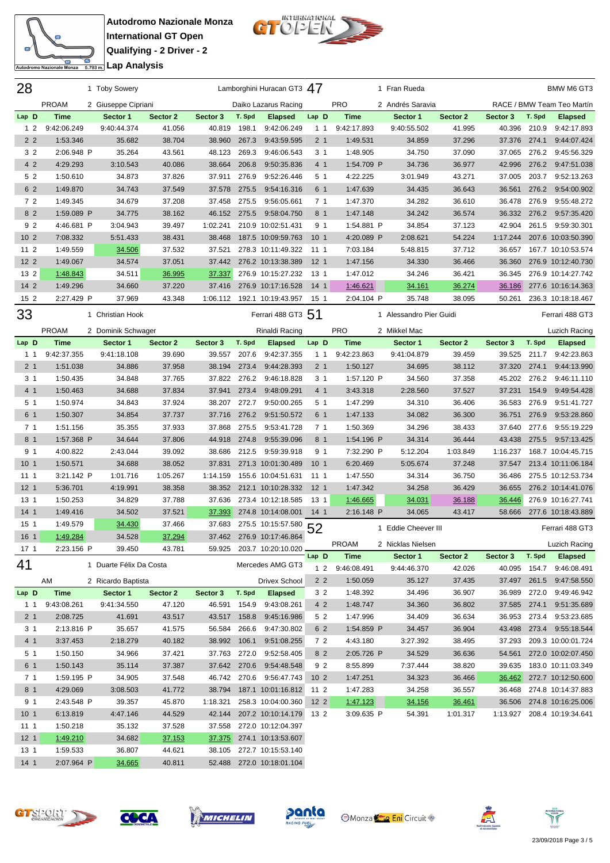

**Autodromo Nazionale Monza International GT Open Qualifying - 2 Driver - 2** <del>Co</del><br><u>5.793 m.</u> Lap Analysis



| 28                     |                      | 1 Toby Sowery           |                  |                    |        | Lamborghini Huracan GT3 47               |                 |                        | 1 Fran Rueda            |          |              |        | BMW M6 GT3                  |
|------------------------|----------------------|-------------------------|------------------|--------------------|--------|------------------------------------------|-----------------|------------------------|-------------------------|----------|--------------|--------|-----------------------------|
|                        | <b>PROAM</b>         | 2 Giuseppe Cipriani     |                  |                    |        | Daiko Lazarus Racing                     |                 | <b>PRO</b>             | 2 Andrés Saravia        |          |              |        | RACE / BMW Team Teo Martín  |
| Lap D                  | <b>Time</b>          | Sector 1                | Sector 2         | Sector 3           | T. Spd | <b>Elapsed</b>                           | Lap D           | <b>Time</b>            | Sector 1                | Sector 2 | Sector 3     | T. Spd | <b>Elapsed</b>              |
| 1 <sub>2</sub>         | 9:42:06.249          | 9:40:44.374             | 41.056           | 40.819             | 198.1  | 9:42:06.249                              | $1 \; 1$        | 9:42:17.893            | 9:40:55.502             | 41.995   | 40.396       | 210.9  | 9:42:17.893                 |
| 2 <sub>2</sub>         | 1:53.346             | 35.682                  | 38.704           | 38.960             | 267.3  | 9:43:59.595                              | 2 <sub>1</sub>  | 1:49.531               | 34.859                  | 37.296   | 37.376       | 274.1  | 9:44:07.424                 |
| 3 <sub>2</sub>         | 2:06.948 P           | 35.264                  | 43.561           | 48.123             | 269.3  | 9:46:06.543                              | 3 <sub>1</sub>  | 1:48.905               | 34.750                  | 37.090   | 37.065       | 276.2  | 9:45:56.329                 |
| 4 2                    | 4:29.293             | 3:10.543                | 40.086           | 38.664             | 206.8  | 9:50:35.836                              | 4 1             | 1:54.709 P             | 34.736                  | 36.977   | 42.996       | 276.2  | 9:47:51.038                 |
| 5 2                    | 1:50.610             | 34.873                  | 37.826           | 37.911             | 276.9  | 9:52:26.446                              | 5 <sub>1</sub>  | 4:22.225               | 3:01.949                | 43.271   | 37.005       | 203.7  | 9:52:13.263                 |
| 6 2                    | 1:49.870             | 34.743                  | 37.549           | 37.578             | 275.5  | 9:54:16.316                              | 6 1             | 1:47.639               | 34.435                  | 36.643   | 36.561       | 276.2  | 9:54:00.902                 |
| 72                     | 1:49.345             | 34.679                  | 37.208           | 37.458             | 275.5  | 9:56:05.661                              | 7 <sub>1</sub>  | 1:47.370               | 34.282                  | 36.610   | 36.478       | 276.9  | 9:55:48.272                 |
| 8 2                    | 1:59.089 P           | 34.775                  | 38.162           | 46.152             | 275.5  | 9:58:04.750                              | 8 1             | 1:47.148               | 34.242                  | 36.574   | 36.332       | 276.2  | 9:57:35.420                 |
| 92                     | 4:46.681 P           | 3:04.943                | 39.497           | 1:02.241           |        | 210.9 10:02:51.431                       | 9 <sub>1</sub>  | 1:54.881 P             | 34.854                  | 37.123   | 42.904       | 261.5  | 9:59:30.301                 |
| 10 <sub>2</sub>        | 7:08.332             | 5:51.433                | 38.431           | 38.468             |        | 187.5 10:09:59.763                       | 10 <sub>1</sub> | 4:20.089 P             | 2:08.621                | 54.224   | 1:17.244     |        | 207.6 10:03:50.390          |
| 11 <sub>2</sub>        | 1:49.559             | 34.506                  | 37.532           | 37.521             |        | 278.3 10:11:49.322                       | 111             | 7:03.184               | 5:48.815                | 37.712   | 36.657       |        | 167.7 10:10:53.574          |
| 12 <sub>2</sub>        | 1:49.067             | 34.574                  | 37.051           | 37.442             |        | 276.2 10:13:38.389                       | 12 <sub>1</sub> | 1:47.156               | 34.330                  | 36.466   | 36.360       |        | 276.9 10:12:40.730          |
| 13 <sub>2</sub>        | 1:48.843             | 34.511                  | 36.995           | 37.337             |        | 276.9 10:15:27.232                       | 13 1            | 1:47.012               | 34.246                  | 36.421   | 36.345       |        | 276.9 10:14:27.742          |
| 14 2                   | 1:49.296             | 34.660                  | 37.220           | 37.416             |        | 276.9 10:17:16.528                       | 14 <sub>1</sub> | 1:46.621               | 34.161                  | 36.274   | 36.186       |        | 277.6 10:16:14.363          |
| 15 2                   | 2:27.429 P           | 37.969                  | 43.348           | 1:06.112           |        | 192.1 10:19:43.957                       | 15 1            | 2:04.104 P             | 35.748                  | 38.095   | 50.261       |        | 236.3 10:18:18.467          |
| 33                     |                      | 1 Christian Hook        |                  |                    |        | Ferrari 488 GT3 51                       |                 |                        | 1 Alessandro Pier Guidi |          |              |        | Ferrari 488 GT3             |
|                        | <b>PROAM</b>         | 2 Dominik Schwager      |                  |                    |        | Rinaldi Racing                           |                 | <b>PRO</b>             | 2 Mikkel Mac            |          |              |        | Luzich Racing               |
| Lap D                  | <b>Time</b>          | Sector 1                | Sector 2         | Sector 3           | T. Spd | <b>Elapsed</b>                           | Lap D           | <b>Time</b>            | Sector 1                | Sector 2 | Sector 3     | T. Spd | <b>Elapsed</b>              |
| $1 \t1$                | 9:42:37.355          | 9:41:18.108             | 39.690           | 39.557             | 207.6  | 9:42:37.355                              | 1 <sub>1</sub>  | 9:42:23.863            | 9:41:04.879             | 39.459   | 39.525       | 211.7  | 9:42:23.863                 |
| 2 <sub>1</sub>         | 1:51.038             | 34.886                  | 37.958           | 38.194             | 273.4  | 9:44:28.393                              | 2 <sub>1</sub>  | 1:50.127               | 34.695                  | 38.112   | 37.320       | 274.1  | 9:44:13.990                 |
| 3 <sub>1</sub>         | 1:50.435             | 34.848                  | 37.765           | 37.822             | 276.2  | 9:46:18.828                              | 3 <sub>1</sub>  | 1:57.120 P             | 34.560                  | 37.358   | 45.202 276.2 |        | 9:46:11.110                 |
| 4 <sub>1</sub>         | 1:50.463             | 34.688                  | 37.834           | 37.941             | 273.4  | 9:48:09.291                              | 4 <sub>1</sub>  | 3:43.318               | 2:28.560                | 37.527   | 37.231       | 154.9  | 9:49:54.428                 |
| 5 1                    | 1:50.974             | 34.843                  | 37.924           | 38.207             | 272.7  | 9:50:00.265                              | 5 1             | 1:47.299               | 34.310                  | 36.406   | 36.583 276.9 |        | 9:51:41.727                 |
| 6 1                    | 1:50.307             | 34.854                  | 37.737           | 37.716             |        | 276.2 9:51:50.572                        | 6 1             | 1:47.133               | 34.082                  | 36.300   | 36.751       | 276.9  | 9:53:28.860                 |
| 7 <sub>1</sub>         | 1:51.156             | 35.355                  | 37.933           | 37.868             | 275.5  | 9:53:41.728                              | 7 <sub>1</sub>  | 1:50.369               | 34.296                  | 38.433   | 37.640       | 277.6  | 9:55:19.229                 |
| 8 1                    | 1:57.368 P           | 34.644                  | 37.806           | 44.918             | 274.8  | 9:55:39.096                              | 8 1             | 1:54.196 P             | 34.314                  | 36.444   | 43.438       | 275.5  | 9:57:13.425                 |
| 9 <sub>1</sub>         | 4:00.822             | 2:43.044                | 39.092           | 38.686             | 212.5  | 9:59:39.918                              | 9 1             | 7:32.290 P             | 5:12.204                | 1:03.849 | 1:16.237     |        | 168.7 10:04:45.715          |
| 10 <sub>1</sub>        | 1:50.571             | 34.688                  | 38.052           | 37.831             |        | 271.3 10:01:30.489                       | 10 <sub>1</sub> | 6:20.469               | 5:05.674                | 37.248   | 37.547       |        | 213.4 10:11:06.184          |
| 1111                   | 3:21.142 P           | 1:01.716                | 1:05.267         | 1:14.159           |        | 155.6 10:04:51.631                       | 1111            | 1:47.550               | 34.314                  | 36.750   | 36.486       |        | 275.5 10:12:53.734          |
| 12 <sub>1</sub>        | 5:36.701             | 4:19.991                | 38.358           | 38.352             |        | 212.1 10:10:28.332                       | 12 <sub>1</sub> | 1:47.342               | 34.258                  | 36.429   | 36.655       |        | 276.2 10:14:41.076          |
| 13 1                   | 1:50.253             | 34.829                  | 37.788           | 37.636             |        | 273.4 10:12:18.585                       | 13 <sub>1</sub> | 1:46.665               | 34.031                  | 36.188   | 36.446       |        | 276.9 10:16:27.741          |
| 14 <sub>1</sub>        | 1:49.416             | 34.502                  | 37.521           | 37.393             |        | 274.8 10:14:08.001                       | 14 1            | 2:16.148 P             | 34.065                  | 43.417   | 58.666       |        | 277.6 10:18:43.889          |
| 15 <sub>1</sub>        | 1:49.579             | 34.430                  | 37.466           | 37.683             |        | 275.5 10:15:57.580                       | 52              |                        | 1 Eddie Cheever III     |          |              |        | Ferrari 488 GT3             |
| 16 1                   | 1:49.284             | 34.528                  | 37.294           | 37.462             |        | 276.9 10:17:46.864                       |                 |                        |                         |          |              |        |                             |
| 17 1                   | 2:23.156 P           | 39.450                  | 43.781           | 59.925             |        | 203.7 10:20:10.020                       |                 | <b>PROAM</b>           | 2 Nicklas Nielsen       |          |              |        | Luzich Racing               |
| 41                     |                      | 1 Duarte Félix Da Costa |                  |                    |        | Mercedes AMG GT3                         | Lap D           | <b>Time</b>            | Sector 1                | Sector 2 | Sector 3     | T. Spd | <b>Elapsed</b>              |
|                        |                      |                         |                  |                    |        |                                          | 1 <sub>2</sub>  | 9:46:08.491            | 9:44:46.370             | 42.026   | 40.095 154.7 |        | 9:46:08.491                 |
|                        | AM                   | 2 Ricardo Baptista      |                  |                    |        | <b>Drivex School</b>                     | $22$            | 1:50.059               | 35.127                  | 37.435   | 37.497       | 261.5  | 9:47:58.550                 |
| Lap D                  | <b>Time</b>          | Sector 1                | Sector 2         | Sector 3           | T. Spd | <b>Elapsed</b>                           | 32              | 1:48.392               | 34.496                  | 36.907   | 36.989       | 272.0  | 9:49:46.942                 |
| $1\quad1$              | 9:43:08.261          | 9:41:34.550             | 47.120           | 46.591 154.9       |        | 9:43:08.261                              | 4 2             | 1:48.747               | 34.360                  | 36.802   |              |        | 37.585 274.1 9:51:35.689    |
| 2 <sub>1</sub>         | 2:08.725             | 41.691                  | 43.517           | 43.517             | 158.8  | 9:45:16.986                              | 5 2             | 1:47.996               | 34.409                  | 36.634   | 36.953       |        | 273.4 9:53:23.685           |
| 3 1                    | 2:13.816 P           | 35.657                  | 41.575           | 56.584             | 266.6  | 9:47:30.802                              | 6 2             | 1:54.859 P             | 34.457                  | 36.904   |              |        | 43.498 273.4 9:55:18.544    |
| 4 1                    | 3:37.453             | 2:18.279                | 40.182           | 38.992             | 106.1  | 9:51:08.255                              | 72              | 4:43.180               | 3:27.392                | 38.495   | 37.293       |        | 209.3 10:00:01.724          |
| 5 1                    | 1:50.150             | 34.966                  | 37.421           | 37.763             | 272.0  | 9:52:58.405                              | 8 2             | 2:05.726 P             | 34.529                  | 36.636   | 54.561       |        | 272.0 10:02:07.450          |
| 6 1                    | 1:50.143             | 35.114                  | 37.387           |                    |        | 37.642 270.6 9:54:48.548                 | 92              | 8:55.899               | 7:37.444                | 38.820   | 39.635       |        | 183.0 10:11:03.349          |
| 7 <sub>1</sub>         | 1:59.195 P           | 34.905                  | 37.548           | 46.742             |        | 270.6 9:56:47.743                        | 10 <sub>2</sub> | 1:47.251               | 34.323                  | 36.466   |              |        | 36.462 272.7 10:12:50.600   |
| 8 <sub>1</sub>         | 4:29.069             | 3:08.503                | 41.772           | 38.794             |        | 187.1 10:01:16.812                       | 11 2            | 1:47.283               | 34.258                  | 36.557   |              |        | 36.468 274.8 10:14:37.883   |
| 9 1                    | 2:43.548 P           | 39.357                  | 45.870           | 1:18.321<br>42.144 |        | 258.3 10:04:00.360                       | $122$           | 1:47.123<br>3:09.635 P | 34.156<br>54.391        | 36.461   |              |        | 36.506 274.8 10:16:25.006   |
| 10 <sub>1</sub><br>111 | 6:13.819<br>1:50.218 | 4:47.146<br>35.132      | 44.529<br>37.528 | 37.558             |        | 207.2 10:10:14.179<br>272.0 10:12:04.397 | 13 2            |                        |                         | 1:01.317 |              |        | 1:13.927 208.4 10:19:34.641 |
| 12 <sub>1</sub>        | 1:49.210             | 34.682                  | 37.153           | 37.375             |        | 274.1 10:13:53.607                       |                 |                        |                         |          |              |        |                             |
| 13 <sub>1</sub>        | 1:59.533             | 36.807                  | 44.621           | 38.105             |        | 272.7 10:15:53.140                       |                 |                        |                         |          |              |        |                             |
| 14 <sub>1</sub>        | 2:07.964 P           | 34.665                  | 40.811           |                    |        | 52.488 272.0 10:18:01.104                |                 |                        |                         |          |              |        |                             |
|                        |                      |                         |                  |                    |        |                                          |                 |                        |                         |          |              |        |                             |











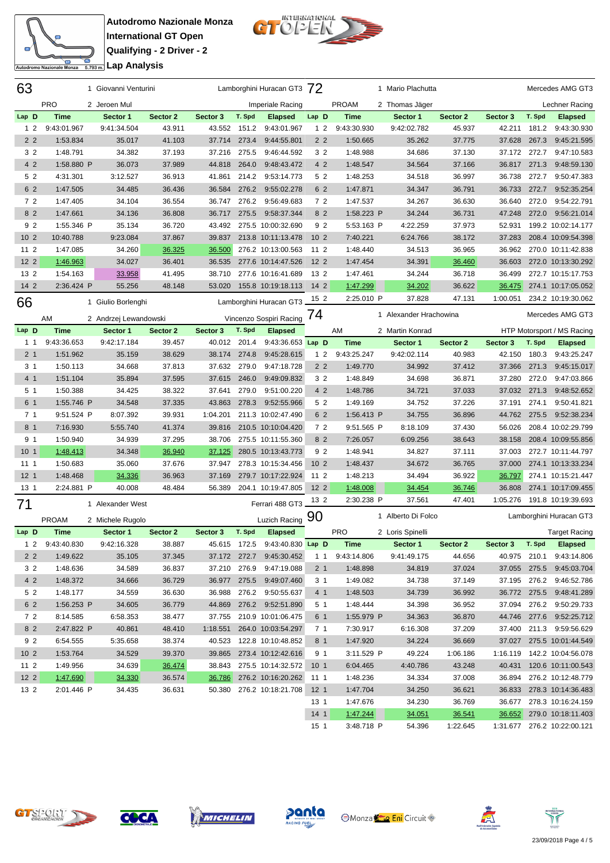

**Autodromo Nazionale Monza International GT Open Qualifying - 2 Driver - 2 <u>Costain Lap Analysis</u>** 



| 63              |                 | 1 Giovanni Venturini  |          |          |        | Lamborghini Huracan GT3 72     |                 |              | 1 Mario Plachutta      |          |              |        | Mercedes AMG GT3              |
|-----------------|-----------------|-----------------------|----------|----------|--------|--------------------------------|-----------------|--------------|------------------------|----------|--------------|--------|-------------------------------|
|                 | <b>PRO</b>      | 2 Jeroen Mul          |          |          |        | Imperiale Racing               |                 | <b>PROAM</b> | 2 Thomas Jäger         |          |              |        | Lechner Racing                |
| Lap D           | <b>Time</b>     | Sector 1              | Sector 2 | Sector 3 | T. Spd | <b>Elapsed</b>                 | Lap D           | Time         | Sector 1               | Sector 2 | Sector 3     | T. Spd | <b>Elapsed</b>                |
| 1 <sub>2</sub>  | 9:43:01.967     | 9:41:34.504           | 43.911   | 43.552   | 151.2  | 9:43:01.967                    | 1 <sub>2</sub>  | 9:43:30.930  | 9:42:02.782            | 45.937   | 42.211       | 181.2  | 9:43:30.930                   |
| 2 <sub>2</sub>  | 1:53.834        | 35.017                | 41.103   | 37.714   | 273.4  | 9:44:55.801                    | 2 <sub>2</sub>  | 1:50.665     | 35.262                 | 37.775   | 37.628       | 267.3  | 9:45:21.595                   |
| 3 <sub>2</sub>  | 1:48.791        | 34.382                | 37.193   | 37.216   | 275.5  | 9:46:44.592                    | 3 2             | 1:48.988     | 34.686                 | 37.130   | 37.172 272.7 |        | 9:47:10.583                   |
| 4 2             | 1:58.880 P      | 36.073                | 37.989   | 44.818   | 264.0  | 9:48:43.472                    | 4 2             | 1:48.547     | 34.564                 | 37.166   | 36.817       | 271.3  | 9:48:59.130                   |
| 5 2             | 4:31.301        | 3:12.527              | 36.913   | 41.861   | 214.2  | 9:53:14.773                    | 52              | 1:48.253     | 34.518                 | 36.997   | 36.738       | 272.7  | 9:50:47.383                   |
| 6 2             | 1:47.505        | 34.485                | 36.436   | 36.584   |        | 276.2 9:55:02.278              | 6 2             | 1:47.871     | 34.347                 | 36.791   | 36.733       | 272.7  | 9:52:35.254                   |
| 72              | 1:47.405        | 34.104                | 36.554   | 36.747   |        | 276.2 9:56:49.683              | 72              | 1:47.537     | 34.267                 | 36.630   | 36.640       | 272.0  | 9:54:22.791                   |
| 8 2             | 1:47.661        | 34.136                | 36.808   | 36.717   | 275.5  | 9:58:37.344                    | 8 <sub>2</sub>  | 1:58.223 P   | 34.244                 | 36.731   | 47.248       | 272.0  | 9:56:21.014                   |
| 92              | 1:55.346 P      | 35.134                | 36.720   | 43.492   |        | 275.5 10:00:32.690             | 92              | 5:53.163 P   | 4:22.259               | 37.973   | 52.931       |        | 199.2 10:02:14.177            |
| 10 <sub>2</sub> | 10:40.788       | 9:23.084              | 37.867   | 39.837   |        | 213.8 10:11:13.478             | 10 <sub>2</sub> | 7:40.221     | 6:24.766               | 38.172   | 37.283       |        | 208.4 10:09:54.398            |
| $112$           | 1:47.085        | 34.260                | 36.325   | 36.500   |        | 276.2 10:13:00.563             | 11 2            | 1:48.440     | 34.513                 | 36.965   | 36.962       |        | 270.0 10:11:42.838            |
| 12 <sub>2</sub> | 1:46.963        | 34.027                | 36.401   | 36.535   |        | 277.6 10:14:47.526             | 12 <sub>2</sub> | 1:47.454     | 34.391                 | 36.460   | 36.603       |        | 272.0 10:13:30.292            |
| 13 2            | 1:54.163        | 33.958                | 41.495   | 38.710   |        | 277.6 10:16:41.689             | 13 2            | 1:47.461     | 34.244                 | 36.718   | 36.499       |        | 272.7 10:15:17.753            |
| 14 2            | 2:36.424 P      | 55.256                | 48.148   | 53.020   |        | 155.8 10:19:18.113             | $142$           | 1:47.299     | 34.202                 | 36.622   | 36.475       |        | 274.1 10:17:05.052            |
|                 |                 |                       |          |          |        |                                | 15 <sub>2</sub> | 2:25.010 P   | 37.828                 | 47.131   | 1:00.051     |        | 234.2 10:19:30.062            |
| 66              |                 | 1 Giulio Borlenghi    |          |          |        | Lamborghini Huracan GT3        |                 |              |                        |          |              |        |                               |
|                 | AM              | 2 Andrzej Lewandowski |          |          |        | Vincenzo Sospiri Racing 74     |                 |              | 1 Alexander Hrachowina |          |              |        | Mercedes AMG GT3              |
| Lap D           | <b>Time</b>     | Sector 1              | Sector 2 | Sector 3 | T. Spd | <b>Elapsed</b>                 |                 | AM           | 2 Martin Konrad        |          |              |        | HTP Motorsport / MS Racing    |
| $1 \quad 1$     | 9:43:36.653     | 9:42:17.184           | 39.457   | 40.012   | 201.4  | 9:43:36.653 Lap D              |                 | <b>Time</b>  | Sector 1               | Sector 2 | Sector 3     | T. Spd | <b>Elapsed</b>                |
| 2 <sub>1</sub>  | 1:51.962        | 35.159                | 38.629   | 38.174   | 274.8  | 9:45:28.615                    | 12              | 9:43:25.247  | 9:42:02.114            | 40.983   | 42.150       | 180.3  | 9:43:25.247                   |
| 3 <sub>1</sub>  | 1:50.113        | 34.668                | 37.813   | 37.632   | 279.0  | 9:47:18.728                    | 2 <sub>2</sub>  | 1:49.770     | 34.992                 | 37.412   | 37.366       | 271.3  | 9:45:15.017                   |
| 4 <sub>1</sub>  | 1:51.104        | 35.894                | 37.595   | 37.615   | 246.0  | 9:49:09.832                    | 3 <sub>2</sub>  | 1:48.849     | 34.698                 | 36.871   | 37.280       | 272.0  | 9:47:03.866                   |
| 5 <sub>1</sub>  | 1:50.388        | 34.425                | 38.322   | 37.641   | 279.0  | 9:51:00.220                    | 4 2             | 1:48.786     | 34.721                 | 37.033   | 37.032       | 271.3  | 9:48:52.652                   |
| 6 1             | 1:55.746 P      | 34.548                | 37.335   | 43.863   | 278.3  | 9:52:55.966                    | 52              | 1:49.169     | 34.752                 | 37.226   | 37.191       | 274.1  | 9:50:41.821                   |
| 7 <sub>1</sub>  | 9:51.524 P      | 8:07.392              | 39.931   | 1:04.201 |        | 211.3 10:02:47.490             | 6 2             | 1:56.413 P   | 34.755                 | 36.896   | 44.762       | 275.5  | 9:52:38.234                   |
| 8 <sub>1</sub>  | 7:16.930        | 5:55.740              | 41.374   | 39.816   |        | 210.5 10:10:04.420             | 72              | 9:51.565 P   | 8:18.109               | 37.430   | 56.026       |        | 208.4 10:02:29.799            |
| 9 <sub>1</sub>  | 1:50.940        | 34.939                | 37.295   | 38.706   |        | 275.5 10:11:55.360             | 8 2             | 7:26.057     | 6:09.256               | 38.643   | 38.158       |        | 208.4 10:09:55.856            |
| 10 <sub>1</sub> | 1:48.413        | 34.348                | 36.940   | 37.125   |        | 280.5 10:13:43.773             | 92              | 1:48.941     | 34.827                 | 37.111   | 37.003       |        | 272.7 10:11:44.797            |
| 111             | 1:50.683        | 35.060                | 37.676   | 37.947   |        | 278.3 10:15:34.456             | 10 <sub>2</sub> | 1:48.437     | 34.672                 | 36.765   | 37.000       |        | 274.1 10:13:33.234            |
| 12 <sub>1</sub> | 1:48.468        | 34.336                | 36.963   | 37.169   |        | 279.7 10:17:22.924             | 11 2            | 1:48.213     | 34.494                 | 36.922   | 36.797       |        | 274.1 10:15:21.447            |
| 13 <sub>1</sub> | 2:24.881 P      | 40.008                | 48.484   | 56.389   |        | 204.1 10:19:47.805             | 12 <sub>2</sub> | 1:48.008     | 34.454                 | 36.746   | 36.808       |        | 274.1 10:17:09.455            |
| 71              |                 | 1 Alexander West      |          |          |        | Ferrari 488 GT3                | 13 2            | 2:30.238 P   | 37.561                 | 47.401   | 1:05.276     |        | 191.8 10:19:39.693            |
|                 |                 |                       |          |          |        |                                | 90              |              | 1 Alberto Di Folco     |          |              |        | Lamborghini Huracan GT3       |
|                 | <b>PROAM</b>    | 2 Michele Rugolo      |          |          |        | Luzich Racing                  |                 |              |                        |          |              |        |                               |
| Lap D           | <b>Time</b>     | Sector 1              | Sector 2 | Sector 3 | T. Spd | <b>Elapsed</b>                 |                 | <b>PRO</b>   | 2 Loris Spinelli       |          |              |        | <b>Target Racing</b>          |
|                 | 1 2 9:43:40.830 | 9:42:16.328           | 38.887   |          |        | 45.615 172.5 9:43:40.830 Lap D |                 | Time         | Sector 1               | Sector 2 | Sector 3     | T. Spd | <b>Elapsed</b>                |
| 2 <sub>2</sub>  | 1:49.622        | 35.105                | 37.345   |          |        | 37.172 272.7 9:45:30.452       | $1\quad1$       | 9:43:14.806  | 9:41:49.175            | 44.656   | 40.975 210.1 |        | 9:43:14.806                   |
| 3 <sub>2</sub>  | 1:48.636        | 34.589                | 36.837   |          |        | 37.210 276.9 9:47:19.088       | 2 <sub>1</sub>  | 1:48.898     | 34.819                 | 37.024   |              |        | 37.055 275.5 9:45:03.704      |
| 4 2             | 1:48.372        | 34.666                | 36.729   | 36.977   |        | 275.5 9:49:07.460              | 3 1             | 1:49.082     | 34.738                 | 37.149   |              |        | 37.195 276.2 9:46:52.786      |
| 5 <sub>2</sub>  | 1:48.177        | 34.559                | 36.630   | 36.988   |        | 276.2 9:50:55.637              | 4 1             | 1:48.503     | 34.739                 | 36.992   |              |        | 36.772 275.5 9:48:41.289      |
| 6 2             | 1:56.253 P      | 34.605                | 36.779   | 44.869   |        | 276.2 9:52:51.890              | 5 1             | 1:48.444     | 34.398                 | 36.952   | 37.094 276.2 |        | 9:50:29.733                   |
| 72              | 8:14.585        | 6:58.353              | 38.477   | 37.755   |        | 210.9 10:01:06.475             | 6 1             | 1:55.979 P   | 34.363                 | 36.870   |              |        | 44.746 277.6 9:52:25.712      |
| 8 2             | 2:47.822 P      | 40.861                | 48.410   | 1:18.551 |        | 264.0 10:03:54.297             | 71              | 7:30.917     | 6:16.308               | 37.209   |              |        | 37.400 211.3 9:59:56.629      |
| 9 2             | 6:54.555        | 5:35.658              | 38.374   | 40.523   |        | 122.8 10:10:48.852             | 8 1             | 1:47.920     | 34.224                 | 36.669   |              |        | 37.027 275.5 10:01:44.549     |
| 10 <sub>2</sub> | 1:53.764        | 34.529                | 39.370   | 39.865   |        | 273.4 10:12:42.616             | 9 1             | 3:11.529 P   | 49.224                 | 1:06.186 |              |        | 1:16.119  142.2  10:04:56.078 |
| $112$           | 1:49.956        | 34.639                | 36.474   | 38.843   |        | 275.5 10:14:32.572 10 1        |                 | 6:04.465     | 4:40.786               | 43.248   |              |        | 40.431 120.6 10:11:00.543     |
| $122$           | 1:47.690        | 34.330                | 36.574   | 36.786   |        | 276.2 10:16:20.262 11 1        |                 | 1:48.236     | 34.334                 | 37.008   |              |        | 36.894 276.2 10:12:48.779     |
| 13 2            | 2:01.446 P      | 34.435                | 36.631   |          |        | 50.380 276.2 10:18:21.708 12 1 |                 | 1:47.704     | 34.250                 | 36.621   |              |        | 36.833 278.3 10:14:36.483     |
|                 |                 |                       |          |          |        |                                | 13 1            | 1:47.676     | 34.230                 | 36.769   |              |        | 36.677 278.3 10:16:24.159     |
|                 |                 |                       |          |          |        |                                | 14 <sub>1</sub> | 1:47.244     | 34.051                 | 36.541   |              |        | 36.652 279.0 10:18:11.403     |
|                 |                 |                       |          |          |        |                                | 15 <sub>1</sub> | 3:48.718 P   | 54.396                 | 1:22.645 |              |        | 1:31.677 276.2 10:22:00.121   |





**COCA** 



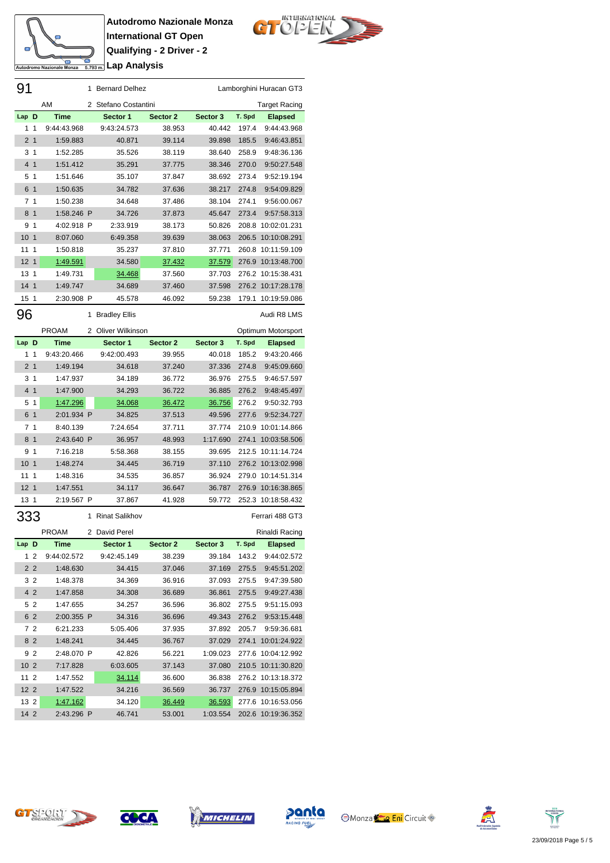

**Autodromo Nazionale Monza International GT Open Qualifying - 2 Driver - 2 <u>Comment</u>** Lap Analysis

91 1 Bernard Delhez Lamborghini Huracan GT3



|                 |                | AM           | 2 | Stefano Costantini   |          |          |        | Target Racing      |
|-----------------|----------------|--------------|---|----------------------|----------|----------|--------|--------------------|
| Lap D           |                | Time         |   | Sector 1             | Sector 2 | Sector 3 | T. Spd | <b>Elapsed</b>     |
| 1               | 1              | 9:44:43.968  |   | 9:43:24.573          | 38.953   | 40.442   | 197.4  | 9:44:43.968        |
| 2               | $\mathbf{1}$   | 1:59.883     |   | 40.871               | 39.114   | 39.898   | 185.5  | 9:46:43.851        |
| 3               | 1              | 1:52.285     |   | 35.526               | 38.119   | 38.640   | 258.9  | 9:48:36.136        |
| 4               | $\mathbf{1}$   | 1:51.412     |   | 35.291               | 37.775   | 38.346   | 270.0  | 9:50:27.548        |
| 5               | 1              | 1:51.646     |   | 35.107               | 37.847   | 38.692   | 273.4  | 9:52:19.194        |
| 6               | $\mathbf{1}$   | 1:50.635     |   | 34.782               | 37.636   | 38.217   | 274.8  | 9:54:09.829        |
| 7               | 1              | 1:50.238     |   | 34.648               | 37.486   | 38.104   | 274.1  | 9:56:00.067        |
| 8               | $\mathbf{1}$   | 1:58.246 P   |   | 34.726               | 37.873   | 45.647   | 273.4  | 9:57:58.313        |
| 9               | 1              | 4:02.918 P   |   | 2:33.919             | 38.173   | 50.826   | 208.8  | 10:02:01.231       |
| 10              | $\overline{1}$ | 8:07.060     |   | 6:49.358             | 39.639   | 38.063   | 206.5  | 10:10:08.291       |
| 11              | $\mathbf{1}$   | 1:50.818     |   | 35.237               | 37.810   | 37.771   | 260.8  | 10:11:59.109       |
| 12 <sub>1</sub> |                | 1:49.591     |   | 34.580               | 37.432   | 37.579   |        | 276.9 10:13:48.700 |
| 13              | $\overline{1}$ | 1:49.731     |   | 34.468               | 37.560   | 37.703   |        | 276.2 10:15:38.431 |
| 14 <sub>1</sub> |                | 1:49.747     |   | 34.689               | 37.460   | 37.598   |        | 276.2 10:17:28.178 |
| 15              | $\mathbf{1}$   | 2:30.908 P   |   | 45.578               | 46.092   | 59.238   | 179.1  | 10:19:59.086       |
|                 |                |              |   |                      |          |          |        |                    |
| 96              |                |              | 1 | <b>Bradley Ellis</b> |          |          |        | Audi R8 LMS        |
|                 |                | <b>PROAM</b> |   | 2 Oliver Wilkinson   |          |          |        | Optimum Motorsport |
| Lap D           |                | Time         |   | Sector 1             | Sector 2 | Sector 3 | T. Spd | <b>Elapsed</b>     |
| 1               | 1              | 9:43:20.466  |   | 9:42:00.493          | 39.955   | 40.018   | 185.2  | 9:43:20.466        |
| 2 <sub>1</sub>  |                | 1:49.194     |   | 34.618               | 37.240   | 37.336   | 274.8  | 9:45:09.660        |
| 3               | $\overline{1}$ | 1:47.937     |   | 34.189               | 36.772   | 36.976   | 275.5  | 9:46:57.597        |
| 4 1             |                | 1:47.900     |   | 34.293               | 36.722   | 36.885   | 276.2  | 9:48:45.497        |
| 5               | $\overline{1}$ | 1:47.296     |   | 34.068               | 36.472   | 36.756   | 276.2  | 9:50:32.793        |
| 6               | $\overline{1}$ | 2:01.934 P   |   | 34.825               | 37.513   | 49.596   | 277.6  | 9:52:34.727        |
| 7               | $\mathbf{1}$   | 8:40.139     |   | 7:24.654             | 37.711   | 37.774   | 210.9  | 10:01:14.866       |
| 8               | $\overline{1}$ | 2:43.640 P   |   | 36.957               | 48.993   | 1:17.690 | 274.1  | 10:03:58.506       |
| 9               | $\overline{1}$ | 7:16.218     |   | 5:58.368             | 38.155   | 39.695   | 212.5  | 10:11:14.724       |
| 10              | $\overline{1}$ | 1:48.274     |   | 34.445               | 36.719   | 37.110   |        | 276.2 10:13:02.998 |
| 11              | 1              | 1:48.316     |   | 34.535               | 36.857   | 36.924   | 279.0  | 10:14:51.314       |
| 12              | $\overline{1}$ | 1:47.551     |   | 34.117               | 36.647   | 36.787   | 276.9  | 10:16:38.865       |
| 13              | $\mathbf 1$    | 2:19.567 P   |   | 37.867               | 41.928   | 59.772   | 252.3  | 10:18:58.432       |
|                 |                |              |   |                      |          |          |        | Ferrari 488 GT3    |
| 333             |                |              |   | 1 Rinat Salikhov     |          |          |        |                    |
|                 |                | <b>PROAM</b> | 2 | David Perel          |          |          |        | Rinaldi Racing     |
| Lap D           |                | <b>Time</b>  |   | Sector 1             | Sector 2 | Sector 3 | T. Spd | <b>Elapsed</b>     |
| 1               | -2             | 9:44:02.572  |   | 9:42:45.149          | 38.239   | 39.184   | 143.2  | 9:44:02.572        |
|                 | 2 2            | 1:48.630     |   | 34.415               | 37.046   | 37.169   | 275.5  | 9:45:51.202        |
|                 | 32             | 1:48.378     |   | 34.369               | 36.916   | 37.093   | 275.5  | 9:47:39.580        |
|                 | 4 2            | 1:47.858     |   | 34.308               | 36.689   | 36.861   | 275.5  | 9:49:27.438        |
|                 | 52             | 1:47.655     |   | 34.257               | 36.596   | 36.802   | 275.5  | 9:51:15.093        |
|                 | 62             | 2:00.355 P   |   | 34.316               | 36.696   | 49.343   | 276.2  | 9:53:15.448        |
|                 | 72             | 6:21.233     |   | 5:05.406             | 37.935   | 37.892   | 205.7  | 9:59:36.681        |
|                 | 8 <sub>2</sub> | 1:48.241     |   | 34.445               | 36.767   | 37.029   |        | 274.1 10:01:24.922 |
|                 | 92             | 2:48.070 P   |   | 42.826               | 56.221   | 1:09.023 |        | 277.6 10:04:12.992 |
| 10 <sub>2</sub> |                | 7:17.828     |   | 6:03.605             | 37.143   | 37.080   |        | 210.5 10:11:30.820 |
| 11 2            |                | 1:47.552     |   | 34.114               | 36.600   | 36.838   |        | 276.2 10:13:18.372 |
| 12 <sub>2</sub> |                | 1:47.522     |   | 34.216               | 36.569   | 36.737   |        | 276.9 10:15:05.894 |
| 13 2            |                | 1:47.162     |   | 34.120               | 36.449   | 36.593   |        | 277.6 10:16:53.056 |
| 14 2            |                | 2:43.296 P   |   | 46.741               | 53.001   | 1:03.554 |        | 202.6 10:19:36.352 |
|                 |                |              |   |                      |          |          |        |                    |











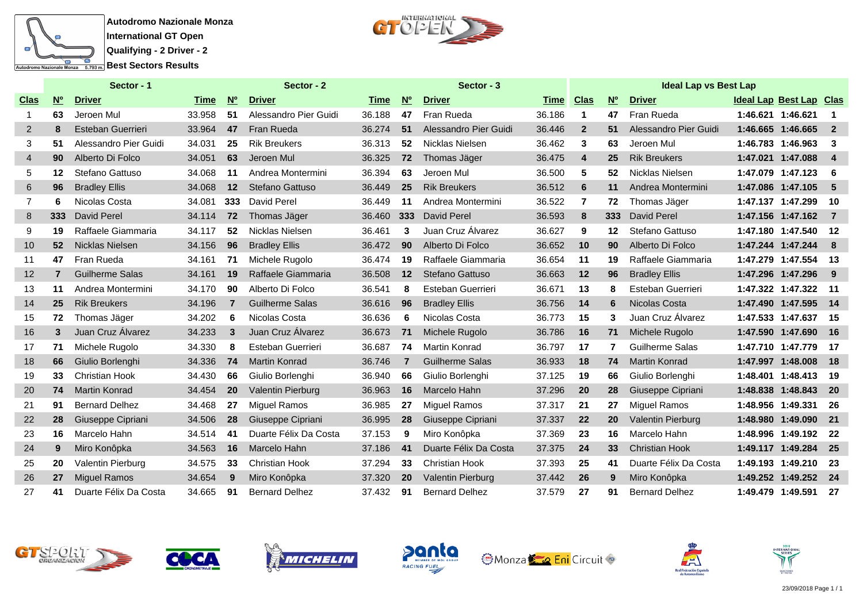



|                |                   | Sector - 1             |        |                                       | Sector - 2               |        |                                       | Sector - 3             |             |                |                   |                        |                                |                      |                         |
|----------------|-------------------|------------------------|--------|---------------------------------------|--------------------------|--------|---------------------------------------|------------------------|-------------|----------------|-------------------|------------------------|--------------------------------|----------------------|-------------------------|
| <u>Clas</u>    | $\underline{N^o}$ | <b>Driver</b>          | Time   | $\underline{\mathsf{N}^{\mathsf{o}}}$ | <b>Driver</b>            | Time   | $\underline{\mathsf{N}^{\mathsf{o}}}$ | <b>Driver</b>          | <b>Time</b> | <u>Clas</u>    | $\underline{N^o}$ | <b>Driver</b>          | <b>Ideal Lap Best Lap Clas</b> |                      |                         |
| 1              | 63                | Jeroen Mul             | 33.958 | 51                                    | Alessandro Pier Guidi    | 36.188 | 47                                    | Fran Rueda             | 36.186      | $\mathbf 1$    | 47                | Fran Rueda             | 1:46.621 1:46.621              |                      | $\overline{\mathbf{1}}$ |
| $\overline{2}$ | 8                 | Esteban Guerrieri      | 33.964 | 47                                    | Fran Rueda               | 36.274 | 51                                    | Alessandro Pier Guidi  | 36.446      | $\overline{2}$ | 51                | Alessandro Pier Guidi  |                                | 1:46.665 1:46.665    | $\overline{\mathbf{2}}$ |
| 3              | 51                | Alessandro Pier Guidi  | 34.031 | 25                                    | <b>Rik Breukers</b>      | 36.313 | 52                                    | Nicklas Nielsen        | 36.462      | 3              | 63                | Jeroen Mul             |                                | 1:46.783 1:46.963    | - 3                     |
| 4              | 90                | Alberto Di Folco       | 34.051 | 63                                    | Jeroen Mul               | 36.325 | 72                                    | Thomas Jäger           | 36.475      | 4              | 25                | <b>Rik Breukers</b>    | 1:47.021 1:47.088              |                      | - 4                     |
| 5              | 12                | Stefano Gattuso        | 34.068 | -11                                   | Andrea Montermini        | 36.394 | 63                                    | Jeroen Mul             | 36.500      | 5              | 52                | Nicklas Nielsen        | 1:47.079 1:47.123              |                      | - 6                     |
| 6              | 96                | <b>Bradley Ellis</b>   | 34.068 | 12                                    | Stefano Gattuso          | 36.449 | 25                                    | <b>Rik Breukers</b>    | 36.512      | 6              | 11                | Andrea Montermini      |                                | 1:47.086 1:47.105    | - 5                     |
| $\overline{7}$ | 6                 | Nicolas Costa          | 34.081 | 333                                   | <b>David Perel</b>       | 36.449 | 11                                    | Andrea Montermini      | 36.522      | 7              | 72                | Thomas Jäger           | 1:47.137 1:47.299              |                      | 10                      |
| 8              | 333               | David Perel            | 34.114 | 72                                    | Thomas Jäger             | 36.460 | 333                                   | <b>David Perel</b>     | 36.593      | 8              | 333               | David Perel            |                                | 1:47.156 1:47.162    | $\overline{7}$          |
| 9              | 19                | Raffaele Giammaria     | 34.117 | 52                                    | Nicklas Nielsen          | 36.461 | 3                                     | Juan Cruz Álvarez      | 36.627      | 9              | 12                | Stefano Gattuso        |                                | 1:47.180 1:47.540    | 12                      |
| 10             | 52                | Nicklas Nielsen        | 34.156 | 96                                    | <b>Bradley Ellis</b>     | 36.472 | 90                                    | Alberto Di Folco       | 36.652      | 10             | 90                | Alberto Di Folco       |                                | 1:47.244 1:47.244    | 8                       |
| 11             | 47                | Fran Rueda             | 34.161 | 71                                    | Michele Rugolo           | 36.474 | 19                                    | Raffaele Giammaria     | 36.654      | 11             | 19                | Raffaele Giammaria     | 1:47.279 1:47.554              |                      | -13                     |
| 12             | 7                 | <b>Guilherme Salas</b> | 34.161 | 19                                    | Raffaele Giammaria       | 36.508 | 12                                    | Stefano Gattuso        | 36.663      | 12             | 96                | <b>Bradley Ellis</b>   |                                | 1:47.296 1:47.296    | - 9                     |
| 13             | 11                | Andrea Montermini      | 34.170 | 90                                    | Alberto Di Folco         | 36.541 | 8                                     | Esteban Guerrieri      | 36.671      | 13             | 8                 | Esteban Guerrieri      |                                | 1:47.322 1:47.322    | - 11                    |
| 14             | 25                | <b>Rik Breukers</b>    | 34.196 | $\overline{7}$                        | <b>Guilherme Salas</b>   | 36.616 | 96                                    | <b>Bradley Ellis</b>   | 36.756      | 14             | 6                 | Nicolas Costa          |                                | 1:47.490 1:47.595    | $-14$                   |
| 15             | 72                | Thomas Jäger           | 34.202 | 6                                     | Nicolas Costa            | 36.636 | 6                                     | Nicolas Costa          | 36.773      | 15             | 3                 | Juan Cruz Álvarez      | 1:47.533 1:47.637              |                      | -15                     |
| 16             | 3                 | Juan Cruz Álvarez      | 34.233 | $\mathbf{3}$                          | Juan Cruz Álvarez        | 36.673 | 71                                    | Michele Rugolo         | 36.786      | 16             | 71                | Michele Rugolo         |                                | 1:47.590 1:47.690    | 16                      |
| 17             | 71                | Michele Rugolo         | 34.330 | 8                                     | Esteban Guerrieri        | 36.687 | 74                                    | <b>Martin Konrad</b>   | 36.797      | 17             | 7                 | <b>Guilherme Salas</b> | 1:47.710 1:47.779              |                      | 17                      |
| 18             | 66                | Giulio Borlenghi       | 34.336 | 74                                    | <b>Martin Konrad</b>     | 36.746 | $\overline{7}$                        | <b>Guilherme Salas</b> | 36.933      | 18             | 74                | <b>Martin Konrad</b>   |                                | 1:47.997 1:48.008    | $-18$                   |
| 19             | 33                | <b>Christian Hook</b>  | 34.430 | 66                                    | Giulio Borlenghi         | 36.940 | 66                                    | Giulio Borlenghi       | 37.125      | 19             | 66                | Giulio Borlenghi       |                                | 1:48.401 1:48.413    | -19                     |
| 20             | 74                | <b>Martin Konrad</b>   | 34.454 | 20                                    | <b>Valentin Pierburg</b> | 36.963 | 16                                    | Marcelo Hahn           | 37.296      | 20             | 28                | Giuseppe Cipriani      |                                | 1:48.838 1:48.843    | 20                      |
| 21             | 91                | <b>Bernard Delhez</b>  | 34.468 | 27                                    | <b>Miguel Ramos</b>      | 36.985 | 27                                    | Miguel Ramos           | 37.317      | 21             | 27                | <b>Miguel Ramos</b>    |                                | 1:48.956 1:49.331    | -26                     |
| 22             | 28                | Giuseppe Cipriani      | 34.506 | 28                                    | Giuseppe Cipriani        | 36.995 | 28                                    | Giuseppe Cipriani      | 37.337      | 22             | 20                | Valentin Pierburg      |                                | 1:48.980 1:49.090    | 21                      |
| 23             | 16                | Marcelo Hahn           | 34.514 | -41                                   | Duarte Félix Da Costa    | 37.153 | 9                                     | Miro Konôpka           | 37.369      | 23             | 16                | Marcelo Hahn           |                                | 1:48.996 1:49.192    | - 22                    |
| 24             | 9                 | Miro Konôpka           | 34.563 | 16                                    | Marcelo Hahn             | 37.186 | 41                                    | Duarte Félix Da Costa  | 37.375      | 24             | 33                | <b>Christian Hook</b>  |                                | 1:49.117 1:49.284    | 25                      |
| 25             | 20                | Valentin Pierburg      | 34.575 | 33                                    | <b>Christian Hook</b>    | 37.294 | 33                                    | <b>Christian Hook</b>  | 37.393      | 25             | 41                | Duarte Félix Da Costa  |                                | 1:49.193 1:49.210    | - 23                    |
| 26             | 27                | <b>Miguel Ramos</b>    | 34.654 | 9                                     | Miro Konôpka             | 37.320 | <b>20</b>                             | Valentin Pierburg      | 37.442      | 26             | 9                 | Miro Konôpka           |                                | 1:49.252 1:49.252 24 |                         |
| 27             | 41                | Duarte Félix Da Costa  | 34.665 | 91                                    | <b>Bernard Delhez</b>    | 37.432 | 91                                    | <b>Bernard Delhez</b>  | 37.579      | 27             | 91                | <b>Bernard Delhez</b>  |                                | 1:49.479 1:49.591    | 27                      |















23/09/2018 Page 1 / 1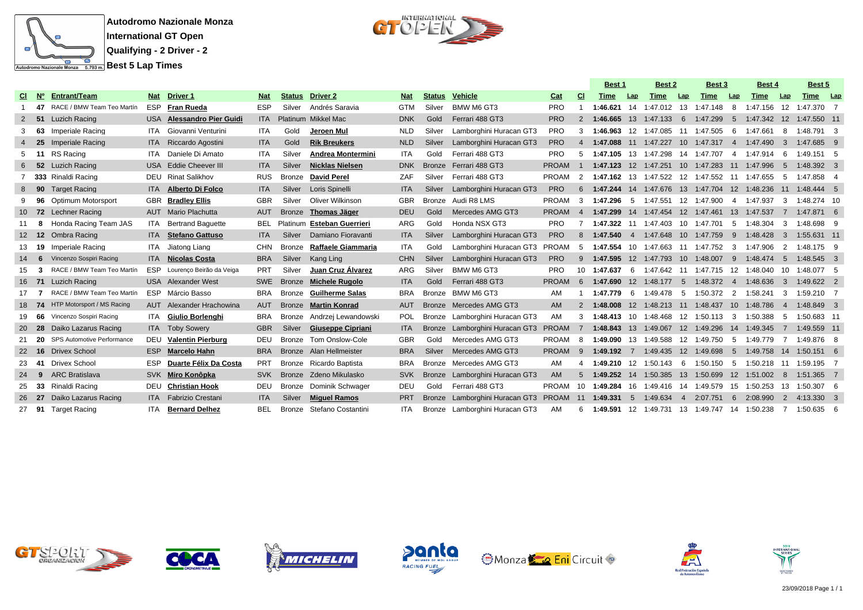



|           |       |                            |            |                               |            |               |                          |            |               |                                  |              |                | <b>Best 1</b>                        |                | Best 2                           |                | <b>Best 3</b>                                |                | Best 4                                        |                | Best 5       |            |
|-----------|-------|----------------------------|------------|-------------------------------|------------|---------------|--------------------------|------------|---------------|----------------------------------|--------------|----------------|--------------------------------------|----------------|----------------------------------|----------------|----------------------------------------------|----------------|-----------------------------------------------|----------------|--------------|------------|
| CI.       | N°    | <b>Entrant/Team</b>        | Nat        | Driver 1                      | <b>Nat</b> | <b>Status</b> | <b>Driver 2</b>          | <b>Nat</b> | <b>Status</b> | Vehicle                          | Cat          | <b>CI</b>      | <b>Time</b>                          | Lap            | Time                             | Lap            | Time                                         | $\mathsf{Lap}$ | Time                                          | Lap            | <b>Time</b>  | <b>Lap</b> |
|           | 47    | RACE / BMW Team Teo Martín | <b>ESP</b> | <b>Fran Rueda</b>             | <b>ESP</b> | Silver        | Andrés Saravia           | <b>GTM</b> | Silver        | BMW M6 GT3                       | <b>PRO</b>   |                | 1:46.621                             | 14             | 1:47.012 13                      |                | 1:47.148                                     | 8              | 1:47.156                                      | 12             | 1:47.370 7   |            |
| 2         | 51    | <b>Luzich Racing</b>       |            | USA Alessandro Pier Guidi     | <b>ITA</b> |               | Platinum Mikkel Mac      | <b>DNK</b> | Gold          | Ferrari 488 GT3                  | <b>PRO</b>   | $\mathcal{P}$  | 1:46.665                             | 13             | 1:47.133                         | 6              | 1:47.299                                     | 5 <sup>5</sup> | 1:47.342                                      | 12             | 1:47.550 11  |            |
| 3         | 63    | Imperiale Racing           |            | <b>ITA</b> Giovanni Venturini | <b>ITA</b> | Gold          | Jeroen Mul               | <b>NLD</b> | Silver        | Lamborghini Huracan GT3          | <b>PRO</b>   | 3              | 1:46.963                             |                | 12 1:47.085 11 1:47.505          |                |                                              |                | 6 1:47.661                                    | -8             | $1:48.791$ 3 |            |
|           | 25    | <b>Imperiale Racing</b>    |            | ITA Riccardo Agostini         | <b>ITA</b> | Gold          | <b>Rik Breukers</b>      | <b>NLD</b> | Silver        | Lamborghini Huracan GT3          | <b>PRO</b>   | 4              | 1:47.088                             |                | 11 1:47.227                      | 10             | 1:47.317                                     | $\overline{4}$ | 1:47.490                                      | $\mathbf{3}$   | 1:47.685 9   |            |
| 5         | - 11  | RS Racing                  | ITA.       | Daniele Di Amato              | <b>ITA</b> | Silver        | <b>Andrea Montermini</b> | <b>ITA</b> | Gold          | Ferrari 488 GT3                  | PRO          | 5              |                                      |                |                                  |                | 1:47.105 13 1:47.298 14 1:47.707             |                | 4 1:47.914                                    | - 6            | 1:49.151 5   |            |
| 6         | 52    | <b>Luzich Racing</b>       |            | USA Eddie Cheever III         | <b>ITA</b> | Silver        | <b>Nicklas Nielsen</b>   | <b>DNK</b> | <b>Bronze</b> | Ferrari 488 GT3                  | <b>PROAM</b> |                |                                      |                |                                  |                | 1:47.123 12 1:47.251 10 1:47.283 11 1:47.996 |                |                                               | - 5            | 1:48.392 3   |            |
|           |       | 333 Rinaldi Racing         |            | <b>DEU</b> Rinat Salikhov     | <b>RUS</b> | Bronze        | <b>David Perel</b>       | ZAF        | Silver        | Ferrari 488 GT3                  | PROAM        | 2              |                                      |                |                                  |                | 1:47.162 13 1:47.522 12 1:47.552 11 1:47.655 |                |                                               | -5             | 1:47.858 4   |            |
| 8         | 90    | <b>Target Racing</b>       |            | ITA Alberto Di Folco          | <b>ITA</b> | Silver        | Loris Spinelli           | <b>ITA</b> | Silver        | Lamborghini Huracan GT3          | <b>PRO</b>   | 6              | 1:47.244                             |                |                                  |                | 14 1:47.676 13 1:47.704 12 1:48.236          |                |                                               | $-11$          | 1:48.444 5   |            |
|           | 96    | Optimum Motorsport         |            | <b>GBR</b> Bradley Ellis      | <b>GBR</b> | Silver        | Oliver Wilkinson         | <b>GBR</b> | Bronze        | Audi R8 LMS                      | PROAM        | 3              |                                      |                |                                  |                | 1:47.296 5 1:47.551 12 1:47.900              |                | 4 1:47.937                                    | 3              | 1:48.274 10  |            |
|           | 10 72 | <b>Lechner Racing</b>      |            | <b>AUT</b> Mario Plachutta    | <b>AUT</b> | <b>Bronze</b> | Thomas Jäger             | <b>DEU</b> | Gold          | Mercedes AMG GT3                 | <b>PROAM</b> | $\overline{4}$ | 1:47.299  14  1:47.454  12  1:47.461 |                |                                  |                |                                              | 13             | 1:47.537                                      |                | 1:47.871 6   |            |
| -11       | 8     | Honda Racing Team JAS      | ITA.       | <b>Bertrand Baguette</b>      | <b>BEL</b> | Platinum      | <b>Esteban Guerrieri</b> | ARG        | Gold          | Honda NSX GT3                    | <b>PRO</b>   |                |                                      |                | 1:47.322 11 1:47.403 10 1:47.701 |                |                                              |                | 5 1:48.304                                    | -3             | 1:48.698 9   |            |
| $12 \,$   | 12    | Ombra Racing               |            | ITA Stefano Gattuso           | <b>ITA</b> | Silver        | Damiano Fioravanti       | <b>ITA</b> | Silver        | Lamborghini Huracan GT3          | <b>PRO</b>   | 8              | 1:47.540                             | $\overline{4}$ | 1:47.648 10 1:47.759             |                |                                              | 9              | 1:48.428                                      | 3              | 1:55.631 11  |            |
|           | 19    | Imperiale Racing           |            | ITA Jiatong Liang             | <b>CHN</b> | Bronze        | Raffaele Giammaria       | <b>ITA</b> | Gold          | Lamborghini Huracan GT3 PROAM    |              | -5             | 1:47.554                             |                |                                  |                | 10 1:47.663 11 1:47.752                      |                | 3 1:47.906                                    | 2              | 1:48.175 9   |            |
| 14        | 6     | Vincenzo Sospiri Racing    | <b>ITA</b> | <b>Nicolas Costa</b>          | <b>BRA</b> | Silver        | Kang Ling                | <b>CHN</b> | Silver        | Lamborghini Huracan GT3          | <b>PRO</b>   | 9              | 1:47.595                             | 12             | 1:47.793                         | 10             | 1:48.007                                     | 9              | 1:48.474                                      | -5             | 1:48.545 3   |            |
| 15        | 3     | RACE / BMW Team Teo Martín | ESP        | Lourenço Beirão da Veiga      | PRT        | Silver        | Juan Cruz Álvarez        | ARG        | Silver        | BMW M6 GT3                       | <b>PRO</b>   | 10             | 1:47.637                             |                |                                  |                |                                              |                | 6 1:47.642 11 1:47.715 12 1:48.040 10         |                | 1:48.077 5   |            |
|           | 16 71 | <b>Luzich Racing</b>       |            | <b>USA</b> Alexander West     | <b>SWE</b> | Bronze        | <b>Michele Rugolo</b>    | <b>ITA</b> | Gold          | Ferrari 488 GT3                  | <b>PROAM</b> | 6              | 1:47.690                             |                | 12 1:48.177                      | $-5$           | 1:48.372                                     |                | 4 1:48.636                                    | $\mathbf{3}$   | $1:49.622$ 2 |            |
|           |       | RACE / BMW Team Teo Martín | ESP        | Márcio Basso                  | <b>BRA</b> | <b>Bronze</b> | <b>Guilherme Salas</b>   | <b>BRA</b> | Bronze        | BMW M6 GT3                       | AM           |                | 1:47.779                             | 6              | 1:49.478                         | 5              | 1:50.372                                     | $\overline{2}$ | 1:58.241                                      | 3              | 1:59.210 7   |            |
|           |       | HTP Motorsport / MS Racing |            | AUT Alexander Hrachowina      | <b>AUT</b> | <b>Bronze</b> | <b>Martin Konrad</b>     | <b>AUT</b> |               | Bronze Mercedes AMG GT3          | AM.          | 2              | 1:48.008                             |                |                                  |                | 12 1:48.213 11 1:48.437 10 1:48.786          |                |                                               | $\overline{4}$ | 1:48.849 3   |            |
| 19        | 66    | Vincenzo Sospiri Racing    |            | ITA Giulio Borlenahi          | <b>BRA</b> | Bronze        | Andrzej Lewandowski      | <b>POL</b> |               | Bronze Lamborghini Huracan GT3   | AM           | 3              |                                      |                |                                  |                | 1:48.413  10  1:48.468  12  1:50.113         |                | 3 1:50.388                                    | -5             | 1:50.683 11  |            |
| <b>20</b> | 28    | Daiko Lazarus Racing       |            | <b>ITA</b> Toby Sowery        | <b>GBR</b> | Silver        | Giuseppe Cipriani        | <b>ITA</b> | <b>Bronze</b> | Lamborghini Huracan GT3          | <b>PROAM</b> | 7              | 1:48.843                             | 13             | 1:49.067                         | 12             | 1:49.296                                     | 14             | 1:49.345                                      | $\overline{7}$ | 1:49.559 11  |            |
|           | -20   | SPS Automotive Performance |            | DEU Valentin Pierburg         | <b>DEU</b> | Bronze        | Tom Onslow-Cole          | <b>GBR</b> | Gold          | Mercedes AMG GT3                 | PROAM        | -8             |                                      |                |                                  |                | 1:49.090 13 1:49.588 12 1:49.750 5 1:49.779  |                |                                               | -7             | 1:49.876 8   |            |
| 22        | 16    | <b>Drivex School</b>       | ESP        | <b>Marcelo Hahn</b>           | <b>BRA</b> | <b>Bronze</b> | Alan Hellmeister         | <b>BRA</b> | Silver        | Mercedes AMG GT3                 | <b>PROAM</b> | -9             | $1:49.192$ 7                         |                | 1:49.435                         |                | 12 1:49.698                                  | 5 <sup>5</sup> | 1:49.758 14                                   |                | $1:50.151$ 6 |            |
| 23        | -41   | <b>Drivex School</b>       | ESP        | Duarte Félix Da Costa         | <b>PRT</b> | Bronze        | Ricardo Baptista         | <b>BRA</b> | Bronze        | Mercedes AMG GT3                 | AM           | 4              |                                      |                |                                  |                |                                              |                | 1:49.210 12 1:50.143 6 1:50.150 5 1:50.218 11 |                | 1:59.195 7   |            |
| 24        | 9     | <b>ARC Bratislava</b>      |            | SVK Miro Konôpka              | <b>SVK</b> | <b>Bronze</b> | Zdeno Mikulasko          | <b>SVK</b> | <b>Bronze</b> | Lamborghini Huracan GT3          | <b>AM</b>    | 5              | 1:49.252                             |                | 14 1:50.385                      |                | 13 1:50.699                                  |                | 12 1:51.002                                   | 8              | 1:51.365 7   |            |
|           | -33   | Rinaldi Racing             | DEU        | Christian Hook                | <b>DEU</b> | <b>Bronze</b> | Dominik Schwager         | DEU        | Gold          | Ferrari 488 GT3                  | PROAM        | 10             | 1:49.284                             | 16             | 1:49.416 14                      |                | 1:49.579                                     | 15             | 1:50.253                                      | - 13           | $1:50.307$ 6 |            |
| 26        | - 27  | Daiko Lazarus Racing       |            | ITA Fabrizio Crestani         | <b>ITA</b> | Silver        | <b>Miquel Ramos</b>      | <b>PRT</b> | <b>Bronze</b> | Lamborghini Huracan GT3 PROAM 11 |              |                | 1:49.331                             | $5^{\circ}$    | 1:49.634                         | $\overline{4}$ | 2:07.751                                     | 6              | 2:08.990                                      | 2              | 4:13.330 3   |            |
| 27        | 91    | <b>Target Racing</b>       | ITA        | <b>Bernard Delhez</b>         | <b>BEL</b> | Bronze        | Stefano Costantini       | <b>ITA</b> |               | Bronze Lamborghini Huracan GT3   | AM           | 6              | 1:49.591                             |                | 12 1:49.731                      |                | 13 1:49.747                                  |                | 14 1:50.238                                   | -7             | 1:50.635 6   |            |















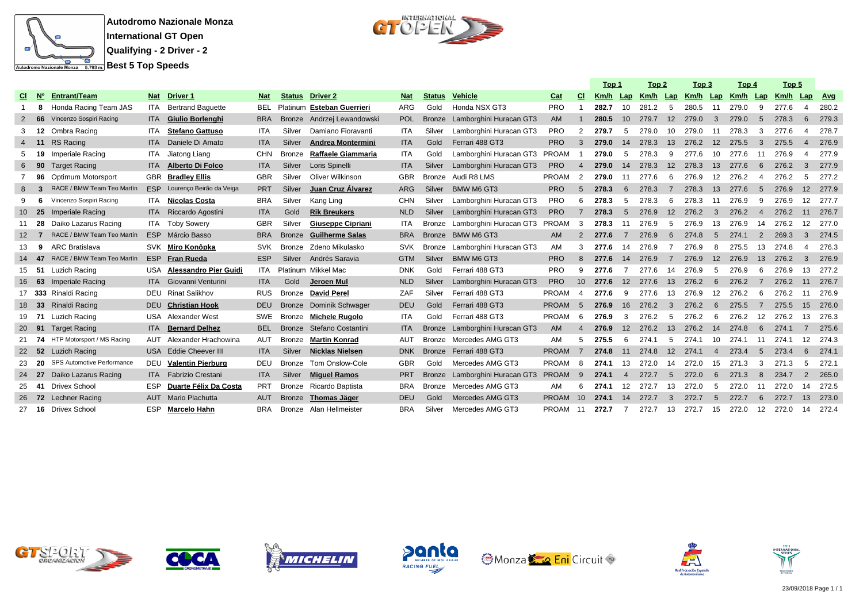

 $C1^{\text{interference}}$ 

|             |           |                                   |            |                               |            |               |                          |            |               |                               |              |                | Top 1 |                 | Top 2 |                | Top 3                      |                | Top 4 |                          | Top 5 |                   |            |
|-------------|-----------|-----------------------------------|------------|-------------------------------|------------|---------------|--------------------------|------------|---------------|-------------------------------|--------------|----------------|-------|-----------------|-------|----------------|----------------------------|----------------|-------|--------------------------|-------|-------------------|------------|
| CI.         | <b>N°</b> | <b>Entrant/Team</b>               | <b>Nat</b> | <b>Driver 1</b>               | <b>Nat</b> | <b>Status</b> | <b>Driver 2</b>          | <b>Nat</b> | <b>Status</b> | <b>Vehicle</b>                | Cat          | <b>CI</b>      | Km/h  | Lap             |       |                | Km/h Lap Km/h Lap Km/h Lap |                |       |                          | Km/h  | Lap               | <b>Avg</b> |
|             | 8         | Honda Racing Team JAS             | ITA        | <b>Bertrand Baquette</b>      |            | BEL Platinum  | <b>Esteban Guerrieri</b> | ARG        | Gold          | Honda NSX GT3                 | <b>PRO</b>   |                | 282.7 | 10              | 281.2 | -5             | 280.5                      | 11             | 279.0 | 9                        | 277.6 | 4                 | 280.2      |
|             | 66        | Vincenzo Sospiri Racing           |            | ITA Giulio Borlenghi          | <b>BRA</b> | <b>Bronze</b> | Andrzej Lewandowski      | <b>POL</b> | <b>Bronze</b> | Lamborghini Huracan GT3       | AM           |                | 280.5 | 10 <sup>1</sup> | 279.7 | 12             | 279.0                      | $\mathbf{3}$   | 279.0 | 5                        | 278.3 | 6                 | 279.3      |
| 3           | 12        | Ombra Racing                      | ITA.       | <b>Stefano Gattuso</b>        | ITA        | Silver        | Damiano Fioravanti       | ITA        | Silver        | Lamborghini Huracan GT3       | <b>PRO</b>   | 2              | 279.7 | -5              | 279.0 | 10             | 279.0                      | - 11           | 278.3 | 3                        | 277.6 | 4                 | 278.7      |
| $4^{\circ}$ | - 11      | <b>RS Racing</b>                  | <b>ITA</b> | Daniele Di Amato              | <b>ITA</b> | Silver        | <b>Andrea Montermini</b> | <b>ITA</b> | Gold          | Ferrari 488 GT3               | <b>PRO</b>   | 3              | 279.0 | 14              | 278.3 | 13             | 276.2                      | 12             | 275.5 | 3                        | 275.5 | $\overline{4}$    | 276.9      |
|             | -19       | Imperiale Racing                  | ITA.       | Jiatong Liang                 | <b>CHN</b> | Bronze        | Raffaele Giammaria       | <b>ITA</b> | Gold          | Lamborghini Huracan GT3 PROAM |              |                | 279.0 | 5               | 278.3 | 9              | 277.6                      | 10             | 277.6 | -11                      | 276.9 | $\mathbf 4$       | 277.9      |
| 6           | -90       | <b>Target Racing</b>              | <b>ITA</b> | <b>Alberto Di Folco</b>       | <b>ITA</b> | Silver        | Loris Spinelli           | <b>ITA</b> | Silver        | Lamborghini Huracan GT3       | <b>PRO</b>   | $\overline{A}$ | 279.0 | 14              | 278.3 | 12             | 278.3                      | 13             | 277.6 | 6                        | 276.2 | 3                 | 277.9      |
|             | 96        | Optimum Motorsport                |            | <b>GBR</b> Bradlev Ellis      | <b>GBR</b> | Silver        | Oliver Wilkinson         | <b>GBR</b> | Bronze        | Audi R8 LMS                   | PROAM        | 2              | 279.0 | 11              | 277.6 | 6              | 276.9                      | 12             | 276.2 | $\boldsymbol{\varDelta}$ | 276.2 | 5                 | 277.2      |
| 8           | -3        | RACE / BMW Team Teo Martín        |            | ESP Lourenço Beirão da Veiga  | <b>PRT</b> | Silver        | Juan Cruz Álvarez        | ARG        | Silver        | <b>BMW M6 GT3</b>             | <b>PRO</b>   | 5              | 278.3 | 6               | 278.3 | $\overline{7}$ | 278.3                      | 13             | 277.6 | $5^{\circ}$              | 276.9 | 12                | 277.9      |
| ٩           | -6        | Vincenzo Sospiri Racing           |            | ITA Nicolas Costa             | <b>BRA</b> | Silver        | Kang Ling                | <b>CHN</b> | Silver        | Lamborghini Huracan GT3       | <b>PRO</b>   | 6              | 278.3 | 5               | 278.3 | 6              | 278.3                      | 11             | 276.9 | 9                        | 276.9 | $12 \overline{ }$ | 277.7      |
|             | 10 25     | Imperiale Racing                  |            | ITA Riccardo Agostini         | <b>ITA</b> | Gold          | <b>Rik Breukers</b>      | <b>NLD</b> | Silver        | Lamborghini Huracan GT3       | <b>PRO</b>   | 7              | 278.3 | $5\overline{5}$ | 276.9 | 12             | 276.2                      | $\mathcal{A}$  | 276.2 | $\boldsymbol{\Lambda}$   | 276.2 | 11                | 276.7      |
|             | - 28      | Daiko Lazarus Racing              | ITA        | <b>Toby Sowery</b>            | <b>GBR</b> | Silver        | Giuseppe Cipriani        | <b>ITA</b> | Bronze        | Lamborghini Huracan GT3 PROAM |              | 3              | 278.3 | -11             | 276.9 | 5              | 276.9                      | 13             | 276.9 | 14                       | 276.2 | 12                | 277.0      |
| 12          |           | RACE / BMW Team Teo Martín        | ESP        | Márcio Basso                  | <b>BRA</b> | <b>Bronze</b> | <b>Guilherme Salas</b>   | <b>BRA</b> | <b>Bronze</b> | BMW M6 GT3                    | AM           | 2              | 277.6 | $\overline{7}$  | 276.9 | 6              | 274.8                      | 5              | 274.1 | $\overline{2}$           | 269.3 | 3                 | 274.5      |
| 13.         | 9         | <b>ARC Bratislava</b>             |            | SVK Miro Konôpka              | <b>SVK</b> |               | Bronze Zdeno Mikulasko   | <b>SVK</b> | Bronze        | Lamborghini Huracan GT3       | AM           | 3              | 277.6 | 14              | 276.9 | 7              | 276.9                      | -8             | 275.5 | 13                       | 274.8 | 4                 | 276.3      |
|             | - 47      | RACE / BMW Team Teo Martín        | <b>ESP</b> | <b>Fran Rueda</b>             | <b>ESP</b> | Silver        | Andrés Saravia           | <b>GTM</b> | Silver        | BMW M6 GT3                    | <b>PRO</b>   | 8              | 277.6 | 14              | 276.9 | $\overline{7}$ | 276.9                      | 12             | 276.9 | 13                       | 276.2 | 3                 | 276.9      |
|             | 15 51     | Luzich Racing                     |            | USA Alessandro Pier Guidi     | ITA        |               | Platinum Mikkel Mac      | <b>DNK</b> | Gold          | Ferrari 488 GT3               | <b>PRO</b>   | 9              | 277.6 |                 | 277.6 | 14             | 276.9                      | -5             | 276.9 | 6                        | 276.9 | 13                | 277.2      |
|             | 16 63     | Imperiale Racing                  |            | <b>ITA</b> Giovanni Venturini | <b>ITA</b> | Gold          | Jeroen Mul               | <b>NLD</b> | Silver        | Lamborghini Huracan GT3       | <b>PRO</b>   | 10             | 277.6 | 12              | 277.6 | 13             | 276.2                      | 6              | 276.2 | $\overline{7}$           | 276.2 | 11                | 276.7      |
|             |           | 17 333 Rinaldi Racing             |            | <b>DEU</b> Rinat Salikhov     | <b>RUS</b> | Bronze        | <b>David Perel</b>       | ZAF        | Silver        | Ferrari 488 GT3               | <b>PROAM</b> | $\overline{4}$ | 277.6 | 9               | 277.6 | 13             | 276.9                      | 12             | 276.2 | 6                        | 276.2 | -11               | 276.9      |
|             | 33        | Rinaldi Racing                    |            | <b>DEU</b> Christian Hook     | <b>DEU</b> | <b>Bronze</b> | Dominik Schwager         | <b>DEU</b> | Gold          | Ferrari 488 GT3               | <b>PROAM</b> | - 5            | 276.9 | 16              | 276.2 | 3              | 276.2                      | 6              | 275.5 | $\overline{7}$           | 275.5 | 15                | 276.0      |
|             | 19 71     | Luzich Racing                     |            | USA Alexander West            | <b>SWE</b> | Bronze        | Michele Rugolo           | <b>ITA</b> | Gold          | Ferrari 488 GT3               | PROAM        | -6             | 276.9 | 3               | 276.2 | -5             | 276.2                      | -6             | 276.2 | 12                       | 276.2 | 13                | 276.3      |
| <b>20</b>   | 91        | <b>Target Racing</b>              | <b>ITA</b> | <b>Bernard Delhez</b>         | <b>BEL</b> | <b>Bronze</b> | Stefano Costantini       | <b>ITA</b> | <b>Bronze</b> | Lamborghini Huracan GT3       | AM           | $\overline{4}$ | 276.9 | 12              | 276.2 | 13             | 276.2                      | 14             | 274.8 | 6                        | 274.1 |                   | 275.6      |
|             | - 74      | HTP Motorsport / MS Racing        | AUT        | Alexander Hrachowina          | <b>AUT</b> | <b>Bronze</b> | <b>Martin Konrad</b>     | <b>AUT</b> | Bronze        | Mercedes AMG GT3              | AM           | 5              | 275.5 | 6               | 274.1 | -5             | 274.1                      | 10             | 274.1 | 11                       | 274.1 | 12                | 274.3      |
|             | - 52      | <b>Luzich Racing</b>              |            | USA Eddie Cheever III         | <b>ITA</b> | Silver        | <b>Nicklas Nielsen</b>   | <b>DNK</b> |               | Bronze Ferrari 488 GT3        | <b>PROAM</b> | $\overline{7}$ | 274.8 | 11              | 274.8 | 12             | 274.1                      | $\overline{4}$ | 273.4 | 5                        | 273.4 | 6                 | 274.1      |
|             | -20       | <b>SPS Automotive Performance</b> |            | DEU Valentin Pierburg         | DEU        | <b>Bronze</b> | Tom Onslow-Cole          | <b>GBR</b> | Gold          | Mercedes AMG GT3              | PROAM        | - 8            | 274.1 | 13              | 272.0 | 14             | 272.0                      | 15             | 271.3 | 3                        | 271.3 | 5                 | 272.1      |
|             | 24 27     | Daiko Lazarus Racing              |            | <b>ITA</b> Fabrizio Crestani  | <b>ITA</b> | Silver        | <b>Miguel Ramos</b>      | <b>PRT</b> | <b>Bronze</b> | Lamborghini Huracan GT3       | <b>PROAM</b> | 9              | 274.1 | $\overline{4}$  | 272.7 | -5             | 272.0                      | 6              | 271.3 | 8                        | 234.7 | $\overline{2}$    | 265.0      |
| 25          | - 41      | <b>Drivex School</b>              | <b>ESP</b> | Duarte Félix Da Costa         | PRT        | <b>Bronze</b> | Ricardo Baptista         | <b>BRA</b> | Bronze        | Mercedes AMG GT3              | AM           | 6              | 274.1 | 12              | 272.7 | 13             | 272.0                      | -5             | 272.0 | -11                      | 272.0 | 14                | 272.5      |
|             | 26 72     | <b>Lechner Racing</b>             |            | <b>AUT</b> Mario Plachutta    | <b>AUT</b> |               | Bronze Thomas Jäger      | <b>DEU</b> | Gold          | Mercedes AMG GT3              | <b>PROAM</b> | $10^{-1}$      | 274.1 | 14              | 272.7 | $\mathcal{B}$  | 272.7                      | $5^{\circ}$    | 272.7 | 6                        | 272.7 | 13                | 273.0      |
|             | - 16      | <b>Drivex School</b>              | <b>ESP</b> | Marcelo Hahn                  | <b>BRA</b> | Bronze        | Alan Hellmeister         | <b>BRA</b> | Silver        | Mercedes AMG GT3              | PROAM        | - 11           | 272.7 | 7               | 272.7 | 13             | 272.7                      | 15             | 272.0 | 12                       | 272.0 | 14                | 272.4      |













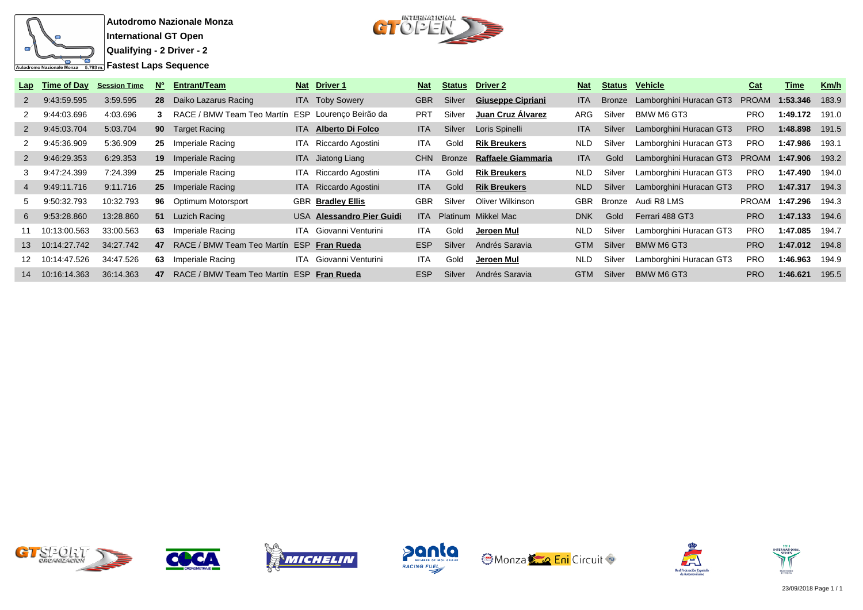



| Lap              | Time of Day  | <b>Session Time</b> | N° | <b>Entrant/Team</b>        |            | Nat Driver 1                  | <b>Nat</b> |        | <b>Status</b> Driver 2   | <b>Nat</b> |        | <b>Status Vehicle</b>          | Cat          | Time                  | Km/h  |
|------------------|--------------|---------------------|----|----------------------------|------------|-------------------------------|------------|--------|--------------------------|------------|--------|--------------------------------|--------------|-----------------------|-------|
| 2                | 9:43:59.595  | 3:59.595            |    | 28 Daiko Lazarus Racing    |            | <b>ITA</b> Toby Sowery        | <b>GBR</b> | Silver | <b>Giuseppe Cipriani</b> | <b>ITA</b> |        | Bronze Lamborghini Huracan GT3 | <b>PROAM</b> | 1:53.346              | 183.9 |
|                  | 9:44:03.696  | 4:03.696            | 3  | RACE / BMW Team Teo Martín | ESP        | Lourenço Beirão da            | <b>PRT</b> | Silver | Juan Cruz Alvarez        | ARG        | Silver | BMW M6 GT3                     | <b>PRO</b>   | 1:49.172              | 191.0 |
| 2                | 9:45:03.704  | 5:03.704            |    | <b>90</b> Target Racing    | ITA.       | <b>Alberto Di Folco</b>       | <b>ITA</b> | Silver | Loris Spinelli           | <b>ITA</b> | Silver | Lamborghini Huracan GT3        | <b>PRO</b>   | 1:48.898              | 191.5 |
|                  | 9:45:36.909  | 5:36.909            | 25 | Imperiale Racing           | ITA.       | Riccardo Agostini             | ITA.       | Gold   | <b>Rik Breukers</b>      | <b>NLD</b> | Silver | Lamborghini Huracan GT3        | <b>PRO</b>   | 1:47.986              | 193.1 |
| $2^{\circ}$      | 9:46:29.353  | 6.29.353            |    | <b>19</b> Imperiale Racing |            | ITA Jiatong Liang             | <b>CHN</b> | Bronze | Raffaele Giammaria       | <b>ITA</b> | Gold   | Lamborghini Huracan GT3        |              | <b>PROAM 1:47.906</b> | 193.2 |
|                  | 9:47:24.399  | 7:24.399            | 25 | Imperiale Racing           |            | ITA Riccardo Agostini         | <b>ITA</b> | Gold   | <b>Rik Breukers</b>      | <b>NLD</b> | Silver | Lamborghini Huracan GT3        | <b>PRO</b>   | 1:47.490              | 194.0 |
| 4                | 9:49:11.716  | 9:11.716            |    | 25 Imperiale Racing        |            | ITA Riccardo Agostini         | ITA.       | Gold   | <b>Rik Breukers</b>      | NLD        | Silver | Lamborghini Huracan GT3        | <b>PRO</b>   | 1:47.317              | 194.3 |
| 5.               | 9:50:32.793  | 10:32.793           |    | 96 Optimum Motorsport      |            | <b>GBR Bradley Ellis</b>      | <b>GBR</b> | Silver | Oliver Wilkinson         | <b>GBR</b> |        | Bronze Audi R8 LMS             |              | PROAM 1:47.296        | 194.3 |
| 6                | 9:53:28.860  | 13:28.860           |    | 51 Luzich Racing           |            | USA Alessandro Pier Guidi     |            |        | ITA Platinum Mikkel Mac  | <b>DNK</b> | Gold   | Ferrari 488 GT3                | <b>PRO</b>   | 1:47.133              | 194.6 |
| 11               | 10:13:00.563 | 33:00.563           | 63 | Imperiale Racing           |            | <b>ITA</b> Giovanni Venturini | ITA.       | Gold   | Jeroen Mul               | NLD        | Silver | Lamborghini Huracan GT3        | <b>PRO</b>   | 1:47.085              | 194.7 |
| 13 <sup>13</sup> | 10:14:27.742 | 34:27.742           | 47 | RACE / BMW Team Teo Martín | <b>ESP</b> | Fran Rueda                    | <b>ESP</b> | Silver | Andrés Saravia           | <b>GTM</b> | Silver | BMW M6 GT3                     | <b>PRO</b>   | 1:47.012              | 194.8 |
| 12               | 10:14:47.526 | 34:47.526           | 63 | Imperiale Racing           |            | <b>ITA</b> Giovanni Venturini | ITA.       | Gold   | Jeroen Mul               | NLD.       | Silver | Lamborghini Huracan GT3        | <b>PRO</b>   | 1:46.963              | 194.9 |
| 14               | 10:16:14.363 | 36:14.363           | 47 | RACE / BMW Team Teo Martín |            | <b>ESP Fran Rueda</b>         | <b>ESP</b> | Silver | Andrés Saravia           | <b>GTM</b> | Silver | <b>BMW M6 GT3</b>              | <b>PRO</b>   | 1:46.621              | 195.5 |













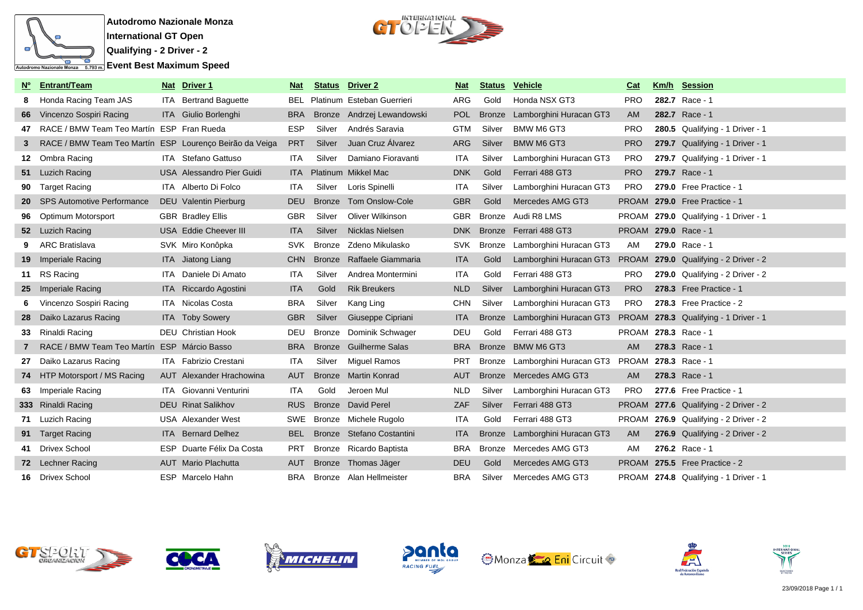



| <b>No</b> | <b>Entrant/Team</b>                                     | Nat Driver 1                     | Nat        | <b>Status</b> | <b>Driver 2</b>            | <b>Nat</b> | <b>Status</b> | <b>Vehicle</b>                                                | Cat        | Km/h Session                          |
|-----------|---------------------------------------------------------|----------------------------------|------------|---------------|----------------------------|------------|---------------|---------------------------------------------------------------|------------|---------------------------------------|
| 8         | Honda Racing Team JAS                                   | ITA Bertrand Baguette            | BEL        |               | Platinum Esteban Guerrieri | ARG        | Gold          | Honda NSX GT3                                                 | <b>PRO</b> | 282.7 Race - 1                        |
| 66        | Vincenzo Sospiri Racing                                 | ITA Giulio Borlenghi             | <b>BRA</b> |               | Bronze Andrzej Lewandowski | <b>POL</b> | <b>Bronze</b> | Lamborghini Huracan GT3                                       | <b>AM</b>  | 282.7 Race - 1                        |
| 47        | RACE / BMW Team Teo Martín ESP Fran Rueda               |                                  | <b>ESP</b> | Silver        | Andrés Saravia             | <b>GTM</b> | Silver        | BMW M6 GT3                                                    | <b>PRO</b> | 280.5 Qualifying - 1 Driver - 1       |
| 3         | RACE / BMW Team Teo Martín ESP Lourenço Beirão da Veiga |                                  | <b>PRT</b> | Silver        | Juan Cruz Álvarez          | <b>ARG</b> | Silver        | <b>BMW M6 GT3</b>                                             | <b>PRO</b> | 279.7 Qualifying - 1 Driver - 1       |
|           | 12 Ombra Racing                                         | ITA Stefano Gattuso              | ITA.       | Silver        | Damiano Fioravanti         | <b>ITA</b> | Silver        | Lamborghini Huracan GT3                                       | <b>PRO</b> | 279.7 Qualifying - 1 Driver - 1       |
|           | 51 Luzich Racing                                        | <b>USA</b> Alessandro Pier Guidi | ITA -      |               | Platinum Mikkel Mac        | <b>DNK</b> | Gold          | Ferrari 488 GT3                                               | <b>PRO</b> | 279.7 Race - 1                        |
| 90        | <b>Target Racing</b>                                    | <b>ITA</b> Alberto Di Folco      | <b>ITA</b> | Silver        | Loris Spinelli             | <b>ITA</b> | Silver        | Lamborghini Huracan GT3                                       | <b>PRO</b> | 279.0 Free Practice - 1               |
| 20        | <b>SPS Automotive Performance</b>                       | DEU Valentin Pierburg            | <b>DEU</b> | <b>Bronze</b> | <b>Tom Onslow-Cole</b>     | <b>GBR</b> | Gold          | Mercedes AMG GT3                                              |            | PROAM 279.0 Free Practice - 1         |
| 96        | Optimum Motorsport                                      | <b>GBR</b> Bradley Ellis         | <b>GBR</b> | Silver        | <b>Oliver Wilkinson</b>    | <b>GBR</b> | Bronze        | Audi R8 LMS                                                   |            | PROAM 279.0 Qualifying - 1 Driver - 1 |
|           | 52 Luzich Racing                                        | USA Eddie Cheever III            | <b>ITA</b> | Silver        | Nicklas Nielsen            |            |               | DNK Bronze Ferrari 488 GT3                                    |            | PROAM 279.0 Race - 1                  |
|           | ARC Bratislava                                          | SVK Miro Konôpka                 | <b>SVK</b> |               | Bronze Zdeno Mikulasko     | SVK        |               | Bronze Lamborghini Huracan GT3                                | AM         | 279.0 Race - 1                        |
|           | <b>19</b> Imperiale Racing                              | ITA Jiatong Liang                | <b>CHN</b> |               | Bronze Raffaele Giammaria  | <b>ITA</b> | Gold          | Lamborghini Huracan GT3 PROAM 279.0 Qualifying - 2 Driver - 2 |            |                                       |
|           | 11 RS Racing                                            | ITA Daniele Di Amato             | ITA        | Silver        | Andrea Montermini          | <b>ITA</b> | Gold          | Ferrari 488 GT3                                               | PRO.       | 279.0 Qualifying - 2 Driver - 2       |
|           | 25 Imperiale Racing                                     | ITA Riccardo Agostini            | <b>ITA</b> | Gold          | <b>Rik Breukers</b>        | <b>NLD</b> | Silver        | Lamborghini Huracan GT3                                       | <b>PRO</b> | 278.3 Free Practice - 1               |
|           | Vincenzo Sospiri Racing                                 | ITA Nicolas Costa                | <b>BRA</b> | Silver        | Kang Ling                  | <b>CHN</b> | Silver        | Lamborghini Huracan GT3                                       | <b>PRO</b> | 278.3 Free Practice - 2               |
|           | 28 Daiko Lazarus Racing                                 | <b>ITA</b> Toby Sowery           | <b>GBR</b> | Silver        | Giuseppe Cipriani          | <b>ITA</b> | <b>Bronze</b> | Lamborghini Huracan GT3 PROAM 278.3 Qualifying - 1 Driver - 1 |            |                                       |
|           | 33 Rinaldi Racing                                       | DEU Christian Hook               | DEU        | Bronze        | Dominik Schwager           | <b>DEU</b> | Gold          | Ferrari 488 GT3                                               |            | PROAM 278.3 Race - 1                  |
|           | RACE / BMW Team Teo Martín ESP Márcio Basso             |                                  | <b>BRA</b> | <b>Bronze</b> | <b>Guilherme Salas</b>     | <b>BRA</b> | <b>Bronze</b> | <b>BMW M6 GT3</b>                                             | <b>AM</b>  | 278.3 Race - 1                        |
|           | 27 Daiko Lazarus Racing                                 | <b>ITA</b> Fabrizio Crestani     | <b>ITA</b> | Silver        | <b>Miguel Ramos</b>        | <b>PRT</b> | Bronze        | Lamborghini Huracan GT3 PROAM 278.3 Race - 1                  |            |                                       |
|           | 74 HTP Motorsport / MS Racing                           | AUT Alexander Hrachowina         | AUT        | <b>Bronze</b> | <b>Martin Konrad</b>       | AUT        |               | Bronze Mercedes AMG GT3                                       | AM.        | 278.3 Race - 1                        |
|           | 63 Imperiale Racing                                     | <b>ITA</b> Giovanni Venturini    | <b>ITA</b> | Gold          | Jeroen Mul                 | <b>NLD</b> | Silver        | Lamborghini Huracan GT3                                       | <b>PRO</b> | 277.6 Free Practice - 1               |
|           | 333 Rinaldi Racing                                      | <b>DEU</b> Rinat Salikhov        | <b>RUS</b> |               | Bronze David Perel         | <b>ZAF</b> | Silver        | Ferrari 488 GT3                                               |            | PROAM 277.6 Qualifying - 2 Driver - 2 |
|           | 71 Luzich Racing                                        | <b>USA</b> Alexander West        | SWE        |               | Bronze Michele Rugolo      | <b>ITA</b> | Gold          | Ferrari 488 GT3                                               |            | PROAM 276.9 Qualifying - 2 Driver - 2 |
|           | 91 Target Racing                                        | <b>ITA</b> Bernard Delhez        | <b>BEL</b> |               | Bronze Stefano Costantini  | <b>ITA</b> | <b>Bronze</b> | Lamborghini Huracan GT3                                       | AM         | 276.9 Qualifying - 2 Driver - 2       |
|           | 41 Drivex School                                        | ESP Duarte Félix Da Costa        | <b>PRT</b> |               | Bronze Ricardo Baptista    | <b>BRA</b> | Bronze        | Mercedes AMG GT3                                              | AM         | 276.2 Race - 1                        |
|           | 72 Lechner Racing                                       | <b>AUT</b> Mario Plachutta       | <b>AUT</b> |               | Bronze Thomas Jäger        | <b>DEU</b> | Gold          | Mercedes AMG GT3                                              |            | PROAM 275.5 Free Practice - 2         |
|           | 16 Drivex School                                        | ESP Marcelo Hahn                 | <b>BRA</b> |               | Bronze Alan Hellmeister    | BRA        | Silver        | Mercedes AMG GT3                                              |            | PROAM 274.8 Qualifying - 1 Driver - 1 |













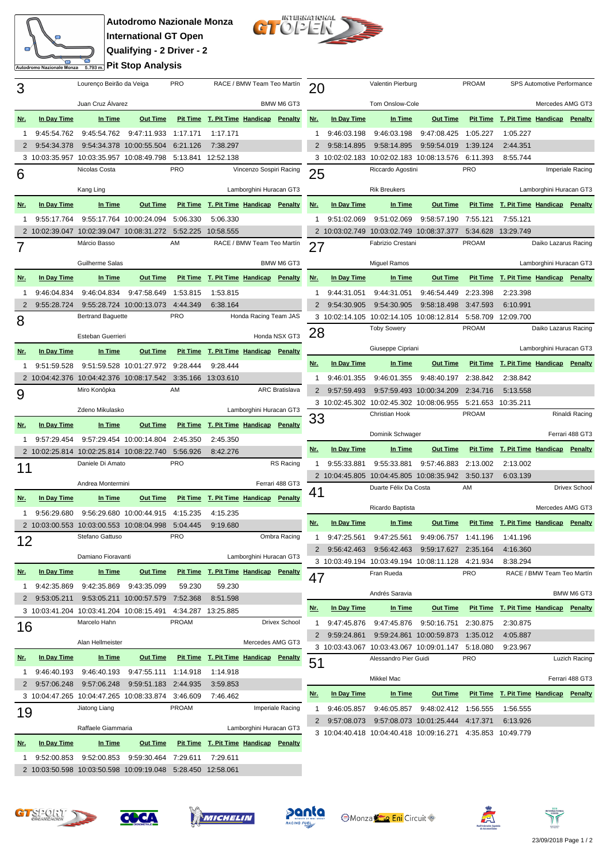## **Autodromo Nazionale Monza International GT Open Qualifying - 2 Driver - 2 Pit Stop Analysis**

œ

Autodromo Nazionale Monza



| 3          |                            | Lourenço Beirão da Veiga                                 |                                          | PRO                  |                                       | RACE / BMW Team Teo Martín |                       | 20           |                              | Valentin Pierburg                                           |                                   | <b>PROAM</b>            |                                       | SPS Automotive Performance |                  |
|------------|----------------------------|----------------------------------------------------------|------------------------------------------|----------------------|---------------------------------------|----------------------------|-----------------------|--------------|------------------------------|-------------------------------------------------------------|-----------------------------------|-------------------------|---------------------------------------|----------------------------|------------------|
|            | Juan Cruz Álvarez          |                                                          | BMW M6 GT3                               |                      |                                       | Tom Onslow-Cole            |                       |              | Mercedes AMG GT3             |                                                             |                                   |                         |                                       |                            |                  |
| <u>Nr.</u> | In Day Time                | In Time                                                  | <b>Out Time</b>                          |                      | Pit Time T. Pit Time Handicap Penalty |                            |                       | <u>Nr.</u>   | In Day Time                  | In Time                                                     | <b>Out Time</b>                   |                         | Pit Time T. Pit Time Handicap Penalty |                            |                  |
|            |                            | 9:45:54.762                                              | 9:47:11.933 1:17.171                     |                      |                                       |                            |                       | 1            |                              |                                                             | 9:47:08.425                       | 1:05.227                |                                       |                            |                  |
|            | 9:45:54.762<br>9:54:34.378 |                                                          | 9:54:34.378 10:00:55.504                 | 6:21.126             | 1:17.171<br>7:38.297                  |                            |                       |              | 9:46:03.198<br>9:58:14.895   | 9:46:03.198<br>9:58:14.895                                  | 9:59:54.019                       | 1:39.124                | 1:05.227<br>2:44.351                  |                            |                  |
|            |                            | 3 10:03:35.957 10:03:35.957 10:08:49.798                 |                                          |                      | 5:13.841 12:52.138                    |                            |                       |              |                              | 3 10:02:02.183 10:02:02.183 10:08:13.576                    |                                   | 6:11.393                | 8:55.744                              |                            |                  |
|            |                            | Nicolas Costa                                            |                                          | PRO                  |                                       | Vincenzo Sospiri Racing    |                       |              |                              | Riccardo Agostini                                           |                                   | <b>PRO</b>              |                                       |                            | Imperiale Racing |
| 6          |                            |                                                          |                                          |                      |                                       |                            |                       | 25           |                              |                                                             |                                   |                         |                                       |                            |                  |
|            |                            | Kang Ling                                                |                                          |                      |                                       | Lamborghini Huracan GT3    |                       |              |                              | <b>Rik Breukers</b>                                         |                                   |                         |                                       | Lamborghini Huracan GT3    |                  |
| <u>Nr.</u> | In Day Time                | In Time                                                  | <b>Out Time</b>                          |                      | Pit Time T. Pit Time Handicap Penalty |                            |                       | <u>Nr.</u>   | In Day Time                  | In Time                                                     | <b>Out Time</b>                   |                         | Pit Time T. Pit Time Handicap Penalty |                            |                  |
| 1          | 9:55:17.764                |                                                          | 9:55:17.764 10:00:24.094                 | 5:06.330             | 5:06.330                              |                            |                       | 1            | 9:51:02.069                  | 9:51:02.069                                                 | 9:58:57.190 7:55.121              |                         | 7:55.121                              |                            |                  |
|            |                            |                                                          | 2 10:02:39.047 10:02:39.047 10:08:31.272 | 5:52.225             | 10:58.555                             |                            |                       |              |                              | 2 10:03:02.749 10:03:02.749 10:08:37.377                    |                                   |                         | 5:34.628 13:29.749                    |                            |                  |
|            |                            | Márcio Basso                                             |                                          | AM                   |                                       | RACE / BMW Team Teo Martín |                       | 27           |                              | Fabrizio Crestani                                           |                                   | PROAM                   |                                       | Daiko Lazarus Racing       |                  |
|            |                            | Guilherme Salas                                          |                                          |                      |                                       |                            | BMW M6 GT3            |              |                              | <b>Miguel Ramos</b>                                         |                                   | Lamborghini Huracan GT3 |                                       |                            |                  |
| <u>Nr.</u> | In Day Time                | In Time                                                  | <b>Out Time</b>                          |                      | Pit Time T. Pit Time Handicap Penalty |                            |                       | <u>Nr.</u>   | In Day Time                  | In Time                                                     | <b>Out Time</b>                   |                         | Pit Time T. Pit Time Handicap Penalty |                            |                  |
| 1          | 9:46:04.834                | 9:46:04.834                                              | 9:47:58.649                              | 1:53.815             | 1:53.815                              |                            |                       | 1            | 9:44:31.051                  | 9:44:31.051                                                 | 9:46:54.449 2:23.398              |                         | 2:23.398                              |                            |                  |
| 2          | 9:55:28.724                |                                                          | 9:55:28.724 10:00:13.073                 | 4:44.349             | 6:38.164                              |                            |                       | 2            | 9:54:30.905                  | 9:54:30.905                                                 | 9:58:18.498                       | 3:47.593                | 6:10.991                              |                            |                  |
| 8          |                            | <b>Bertrand Baguette</b>                                 |                                          | <b>PRO</b>           |                                       | Honda Racing Team JAS      |                       |              |                              | 3 10:02:14.105 10:02:14.105 10:08:12.814 5:58.709 12:09.700 |                                   |                         |                                       |                            |                  |
|            |                            |                                                          |                                          |                      |                                       |                            |                       | 28           |                              | <b>Toby Sowery</b>                                          |                                   | PROAM                   |                                       | Daiko Lazarus Racing       |                  |
|            |                            | Esteban Guerrieri                                        |                                          |                      |                                       |                            | Honda NSX GT3         |              |                              | Giuseppe Cipriani                                           |                                   |                         |                                       | Lamborghini Huracan GT3    |                  |
| <u>Nr.</u> | In Day Time                | In Time                                                  | <b>Out Time</b>                          | <b>Pit Time</b>      | T. Pit Time Handicap Penalty          |                            |                       |              |                              |                                                             |                                   |                         |                                       |                            |                  |
| 1          | 9:51:59.528                |                                                          | 9:51:59.528 10:01:27.972                 | 9:28.444             | 9:28.444                              |                            |                       | Nr.          | In Day Time                  | In Time                                                     | <b>Out Time</b>                   | <b>Pit Time</b>         | T. Pit Time Handicap                  |                            | Penalty          |
|            |                            | 2 10:04:42.376 10:04:42.376 10:08:17.542<br>Miro Konôpka |                                          | AM                   | 3:35.166 13:03.610                    |                            | <b>ARC Bratislava</b> | 1            | 9:46:01.355                  | 9:46:01.355                                                 | 9:48:40.197 2:38.842              |                         | 2:38.842                              |                            |                  |
| 9          |                            |                                                          |                                          |                      |                                       |                            |                       | 2            | 9:57:59.493                  | 3 10:02:45.302 10:02:45.302 10:08:06.955 5:21.653 10:35.211 | 9:57:59.493 10:00:34.209 2:34.716 |                         | 5:13.558                              |                            |                  |
|            |                            | Zdeno Mikulasko                                          |                                          |                      |                                       | Lamborghini Huracan GT3    |                       |              |                              | Christian Hook                                              |                                   | PROAM                   |                                       |                            | Rinaldi Racing   |
| <u>Nr.</u> | In Day Time                | In Time                                                  | <b>Out Time</b>                          |                      | Pit Time T. Pit Time Handicap Penalty |                            |                       | 33           |                              |                                                             |                                   |                         |                                       |                            |                  |
|            | 9:57:29.454                |                                                          |                                          |                      |                                       |                            |                       |              |                              | Dominik Schwager                                            |                                   |                         |                                       |                            | Ferrari 488 GT3  |
| 1          |                            |                                                          | 9:57:29.454 10:00:14.804                 | 2:45.350             | 2:45.350                              |                            |                       |              |                              |                                                             |                                   |                         |                                       |                            |                  |
|            |                            | 2 10:02:25.814 10:02:25.814 10:08:22.740                 |                                          | 5:56.926             | 8:42.276                              |                            |                       | Nr.          | In Day Time                  | In Time                                                     | <b>Out Time</b>                   |                         | Pit Time T. Pit Time Handicap         |                            | Penalty          |
| 11         |                            | Daniele Di Amato                                         |                                          | <b>PRO</b>           |                                       |                            | RS Racing             | 1            | 9:55:33.881                  | 9:55:33.881                                                 | 9:57:46.883                       | 2:13.002                | 2:13.002                              |                            |                  |
|            |                            | Andrea Montermini                                        |                                          |                      |                                       |                            | Ferrari 488 GT3       |              |                              | 2 10:04:45.805 10:04:45.805 10:08:35.942                    |                                   | 3:50.137                | 6:03.139                              |                            |                  |
|            |                            |                                                          |                                          |                      |                                       |                            |                       | 41           |                              | Duarte Félix Da Costa                                       |                                   | AM                      |                                       |                            | Drivex School    |
| <u>Nr.</u> | In Day Time                | In Time                                                  | <b>Out Time</b>                          |                      | Pit Time T. Pit Time Handicap Penalty |                            |                       |              |                              | Ricardo Baptista                                            |                                   |                         |                                       | Mercedes AMG GT3           |                  |
|            | 9:56:29.680                | 2 10:03:00.553 10:03:00.553 10:08:04.998                 | 9:56:29.680 10:00:44.915                 | 4:15.235<br>5:04.445 | 4:15.235<br>9:19.680                  |                            |                       | Nr.          | In Day Time                  | In Time                                                     | <b>Out Time</b>                   |                         | Pit Time T. Pit Time Handicap Penalty |                            |                  |
|            |                            | Stefano Gattuso                                          |                                          | <b>PRO</b>           |                                       |                            | Ombra Racing          | $\mathbf{1}$ |                              | 9:47:25.561  9:47:25.561  9:49:06.757  1:41.196             |                                   |                         | 1:41.196                              |                            |                  |
| 12         |                            |                                                          |                                          |                      |                                       |                            |                       |              |                              | 9:56:42.463 9:56:42.463                                     | 9:59:17.627 2:35.164              |                         | 4:16.360                              |                            |                  |
|            |                            | Damiano Fioravanti                                       |                                          |                      |                                       | Lamborghini Huracan GT3    |                       |              |                              | 3 10:03:49.194 10:03:49.194 10:08:11.128 4:21.934           |                                   |                         | 8:38.294                              |                            |                  |
| <u>Nr.</u> | In Day Time                | In Time                                                  | <b>Out Time</b>                          |                      | Pit Time T. Pit Time Handicap Penalty |                            |                       | 47           |                              | Fran Rueda                                                  |                                   | <b>PRO</b>              |                                       | RACE / BMW Team Teo Martín |                  |
|            | 9:42:35.869                | 9:42:35.869                                              | 9:43:35.099                              | 59.230               | 59.230                                |                            |                       |              |                              | Andrés Saravia                                              |                                   |                         |                                       |                            | BMW M6 GT3       |
|            | 9:53:05.211                |                                                          | 9:53:05.211 10:00:57.579                 | 7:52.368             | 8:51.598                              |                            |                       | <u>Nr.</u>   | In Day Time                  |                                                             |                                   |                         |                                       |                            |                  |
|            |                            | 3 10:03:41.204 10:03:41.204 10:08:15.491                 |                                          |                      | 4:34.287 13:25.885                    |                            |                       |              |                              | In Time                                                     | <b>Out Time</b>                   |                         | Pit Time T. Pit Time Handicap Penalty |                            |                  |
| 16         |                            | Marcelo Hahn                                             |                                          | <b>PROAM</b>         |                                       |                            | Drivex School         | 1            | 9:47:45.876<br>2 9:59:24.861 | 9:47:45.876                                                 | 9:50:16.751 2:30.875              |                         | 2:30.875                              |                            |                  |
|            |                            | Alan Hellmeister                                         |                                          |                      |                                       | Mercedes AMG GT3           |                       |              |                              | 3 10:03:43.067 10:03:43.067 10:09:01.147 5:18.080           | 9:59:24.861 10:00:59.873 1:35.012 |                         | 4:05.887<br>9:23.967                  |                            |                  |
| <u>Nr.</u> | In Day Time                | In Time                                                  | <b>Out Time</b>                          |                      | Pit Time T. Pit Time Handicap Penalty |                            |                       |              |                              | Alessandro Pier Guidi                                       |                                   | <b>PRO</b>              |                                       |                            | Luzich Racing    |
|            | 9:46:40.193                | 9:46:40.193                                              | 9:47:55.111                              | 1:14.918             | 1:14.918                              |                            |                       | 51           |                              |                                                             |                                   |                         |                                       |                            |                  |
|            | 2 9:57:06.248              | 9:57:06.248                                              | 9:59:51.183                              | 2:44.935             | 3:59.853                              |                            |                       |              |                              | Mikkel Mac                                                  |                                   |                         |                                       |                            | Ferrari 488 GT3  |
|            |                            |                                                          | 3 10:04:47.265 10:04:47.265 10:08:33.874 | 3:46.609             | 7:46.462                              |                            |                       | Nr.          | In Day Time                  | In Time                                                     | <b>Out Time</b>                   |                         | Pit Time T. Pit Time Handicap Penalty |                            |                  |
| 19         |                            | Jiatong Liang                                            |                                          | <b>PROAM</b>         |                                       |                            | Imperiale Racing      | 1            | 9:46:05.857                  | 9:46:05.857                                                 | 9:48:02.412 1:56.555              |                         | 1:56.555                              |                            |                  |
|            |                            | Raffaele Giammaria                                       |                                          |                      |                                       | Lamborghini Huracan GT3    |                       |              |                              | 2 9:57:08.073 9:57:08.073 10:01:25.444 4:17.371             |                                   |                         | 6:13.926                              |                            |                  |
| Nr.        | In Day Time                | In Time                                                  | <b>Out Time</b>                          |                      | Pit Time T. Pit Time Handicap Penalty |                            |                       |              |                              | 3 10:04:40.418 10:04:40.418 10:09:16.271 4:35.853 10:49.779 |                                   |                         |                                       |                            |                  |
|            | 9:52:00.853                | 9:52:00.853                                              | 9:59:30.464                              | 7:29.611             | 7:29.611                              |                            |                       |              |                              |                                                             |                                   |                         |                                       |                            |                  |









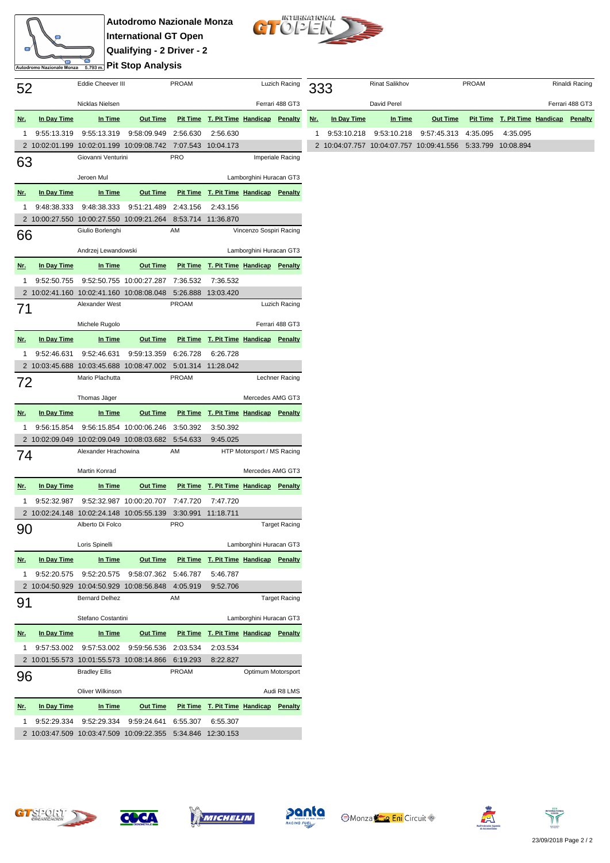## **Autodromo Nazionale Monza International GT Open Qualifying - 2 Driver - 2 <u><b>Pit Stop Analysis**</u>

œ

Autodromo Nazionale Monza



| 52             |                    | Eddie Cheever III                                           |                          | <b>PROAM</b>    |                              | Luzich Racing           |                      |  |
|----------------|--------------------|-------------------------------------------------------------|--------------------------|-----------------|------------------------------|-------------------------|----------------------|--|
|                |                    | Nicklas Nielsen                                             |                          |                 |                              |                         | Ferrari 488 GT3      |  |
| <u>Nr.</u>     | In Day Time        | In Time                                                     | <b>Out Time</b>          | <b>Pit Time</b> | T. Pit Time Handicap         |                         | Penalty              |  |
| 1              | 9:55:13.319        | 9:55:13.319                                                 | 9:58:09.949              | 2:56.630        | 2:56.630                     |                         |                      |  |
| $\overline{2}$ | 10:02:01.199       | 10:02:01.199                                                | 10:09:08.742             | 7:07.543        | 10:04.173                    |                         |                      |  |
| 63             |                    | Giovanni Venturini                                          |                          | <b>PRO</b>      |                              |                         | Imperiale Racing     |  |
|                |                    | Jeroen Mul                                                  |                          |                 | Lamborghini Huracan GT3      |                         |                      |  |
| <u>Nr.</u>     | In Day Time        | In Time                                                     | <b>Out Time</b>          | <b>Pit Time</b> | <b>T. Pit Time Handicap</b>  |                         | <b>Penalty</b>       |  |
| 1              | 9:48:38.333        | 9:48:38.333                                                 | 9:51:21.489              | 2:43.156        | 2:43.156                     |                         |                      |  |
| $\overline{2}$ | 10:00:27.550       | 10:00:27.550                                                | 10:09:21.264             | 8:53.714        | 11:36.870                    |                         |                      |  |
| 66             |                    | Giulio Borlenghi                                            |                          | AM              |                              | Vincenzo Sospiri Racing |                      |  |
|                |                    | Andrzej Lewandowski                                         |                          |                 | Lamborghini Huracan GT3      |                         |                      |  |
| <u>Nr.</u>     | <b>In Day Time</b> | In Time                                                     | Out Time                 | <b>Pit Time</b> | T. Pit Time Handicap         |                         | <b>Penalty</b>       |  |
| 1              | 9:52:50.755        | 9:52:50.755                                                 | 10:00:27.287             | 7:36.532        | 7:36.532                     |                         |                      |  |
| 2              | 10:02:41.160       | 10:02:41.160                                                | 10:08:08.048             | 5:26.888        | 13:03.420                    |                         |                      |  |
| 71             |                    | Alexander West                                              |                          | <b>PROAM</b>    |                              |                         | Luzich Racing        |  |
|                |                    | Michele Rugolo                                              |                          |                 |                              |                         | Ferrari 488 GT3      |  |
| <u>Nr.</u>     | In Day Time        | In Time                                                     | <b>Out Time</b>          | <b>Pit Time</b> | T. Pit Time Handicap Penalty |                         |                      |  |
| 1              | 9:52:46.631        | 9:52:46.631                                                 | 9:59:13.359              | 6:26.728        | 6:26.728                     |                         |                      |  |
| 2              | 10:03:45.688       | 10:03:45.688                                                | 10:08:47.002             | 5:01.314        | 11:28.042                    |                         |                      |  |
| 72             |                    | Mario Plachutta                                             |                          | PROAM           |                              |                         | Lechner Racing       |  |
|                |                    |                                                             |                          |                 |                              |                         |                      |  |
|                |                    | Thomas Jäger                                                |                          |                 |                              | Mercedes AMG GT3        |                      |  |
| <u>Nr.</u>     | In Day Time        | In Time                                                     | <b>Out Time</b>          | <b>Pit Time</b> | T. Pit Time Handicap Penalty |                         |                      |  |
| 1              | 9:56:15.854        |                                                             | 9:56:15.854 10:00:06.246 | 3:50.392        | 3:50.392                     |                         |                      |  |
| $\overline{2}$ | 10:02:09.049       | 10:02:09.049<br>Alexander Hrachowina                        | 10:08:03.682             | 5:54.633<br>AM  | 9:45.025                     |                         |                      |  |
| 74             |                    |                                                             |                          |                 | HTP Motorsport / MS Racing   |                         |                      |  |
|                |                    | Martin Konrad                                               |                          |                 |                              | Mercedes AMG GT3        |                      |  |
| <u>Nr.</u>     | In Day Time        | In Time                                                     | <b>Out Time</b>          | <b>Pit Time</b> | T. Pit Time Handicap         |                         | <b>Penalty</b>       |  |
| 1              | 9:52:32.987        | 9:52:32.987                                                 | 10:00:20.707             | 7:47.720        | 7:47.720                     |                         |                      |  |
| $\overline{2}$ | 10:02:24.148       | 10:02:24.148                                                | 10:05:55.139             | 3:30.991        | 11:18.711                    |                         |                      |  |
| 90             |                    | Alberto Di Folco                                            |                          | <b>PRO</b>      |                              |                         | <b>Target Racing</b> |  |
|                |                    | Loris Spinelli                                              |                          |                 |                              | Lamborghini Huracan GT3 |                      |  |
| <u>Nr.</u>     | In Day Time        | <u>In Time</u>                                              | Out Time                 | <b>Pit Time</b> | T. Pit Time Handicap Penalty |                         |                      |  |
| 1              | 9:52:20.575        | 9:52:20.575                                                 | 9:58:07.362              | 5:46.787        | 5:46.787                     |                         |                      |  |
| 2              |                    | 10:04:50.929 10:04:50.929 10:08:56.848                      |                          | 4:05.919        | 9:52.706                     |                         |                      |  |
| 91             |                    | <b>Bernard Delhez</b>                                       |                          | AM              |                              |                         | <b>Target Racing</b> |  |
|                |                    | Stefano Costantini                                          |                          |                 |                              | Lamborghini Huracan GT3 |                      |  |
| <u>Nr.</u>     | In Day Time        | In Time                                                     | <b>Out Time</b>          | <u>Pit Time</u> | <b>T. Pit Time Handicap</b>  |                         | Penalty              |  |
| 1              | 9:57:53.002        | 9:57:53.002                                                 | 9:59:56.536              | 2:03.534        | 2:03.534                     |                         |                      |  |
| 2              |                    | 10:01:55.573 10:01:55.573 10:08:14.866                      |                          | 6:19.293        | 8:22.827                     |                         |                      |  |
| 96             |                    | <b>Bradley Ellis</b>                                        |                          | <b>PROAM</b>    |                              | Optimum Motorsport      |                      |  |
|                |                    |                                                             |                          |                 | Audi R8 LMS                  |                         |                      |  |
| <u>Nr.</u>     | In Day Time        | <u>In Time</u>                                              | Out Time                 | <u>Pit Time</u> | T. Pit Time Handicap         |                         | Penalty              |  |
| 1              | 9:52:29.334        | 9:52:29.334                                                 | 9:59:24.641              | 6:55.307        | 6:55.307                     |                         |                      |  |
|                |                    | 2 10:03:47.509 10:03:47.509 10:09:22.355 5:34.846 12:30.153 |                          |                 |                              |                         |                      |  |

| 333 |             | <b>Rinat Salikhov</b> |                                                   | <b>PROAM</b> |                               | Rinaldi Racing |                 |
|-----|-------------|-----------------------|---------------------------------------------------|--------------|-------------------------------|----------------|-----------------|
|     |             | David Perel           |                                                   |              |                               |                | Ferrari 488 GT3 |
| Nr. | In Day Time | In Time               | <b>Out Time</b>                                   |              | Pit Time T. Pit Time Handicap |                | Penalty         |
| 1   |             |                       | 9:53:10.218  9:53:10.218  9:57:45.313  4:35.095   |              | 4:35.095                      |                |                 |
|     |             |                       | 2 10:04:07.757 10:04:07.757 10:09:41.556 5:33.799 |              | 10:08.894                     |                |                 |